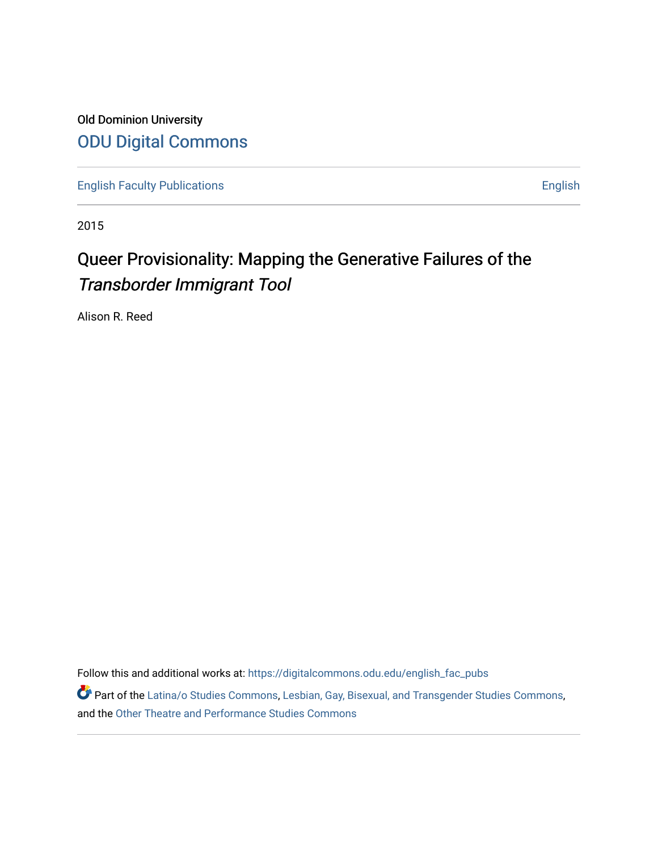Old Dominion University [ODU Digital Commons](https://digitalcommons.odu.edu/) 

[English Faculty Publications](https://digitalcommons.odu.edu/english_fac_pubs) **English** English

2015

# Queer Provisionality: Mapping the Generative Failures of the Transborder Immigrant Tool

Alison R. Reed

Follow this and additional works at: [https://digitalcommons.odu.edu/english\\_fac\\_pubs](https://digitalcommons.odu.edu/english_fac_pubs?utm_source=digitalcommons.odu.edu%2Fenglish_fac_pubs%2F196&utm_medium=PDF&utm_campaign=PDFCoverPages) 

Part of the [Latina/o Studies Commons,](http://network.bepress.com/hgg/discipline/1315?utm_source=digitalcommons.odu.edu%2Fenglish_fac_pubs%2F196&utm_medium=PDF&utm_campaign=PDFCoverPages) [Lesbian, Gay, Bisexual, and Transgender Studies Commons](http://network.bepress.com/hgg/discipline/560?utm_source=digitalcommons.odu.edu%2Fenglish_fac_pubs%2F196&utm_medium=PDF&utm_campaign=PDFCoverPages), and the [Other Theatre and Performance Studies Commons](http://network.bepress.com/hgg/discipline/558?utm_source=digitalcommons.odu.edu%2Fenglish_fac_pubs%2F196&utm_medium=PDF&utm_campaign=PDFCoverPages)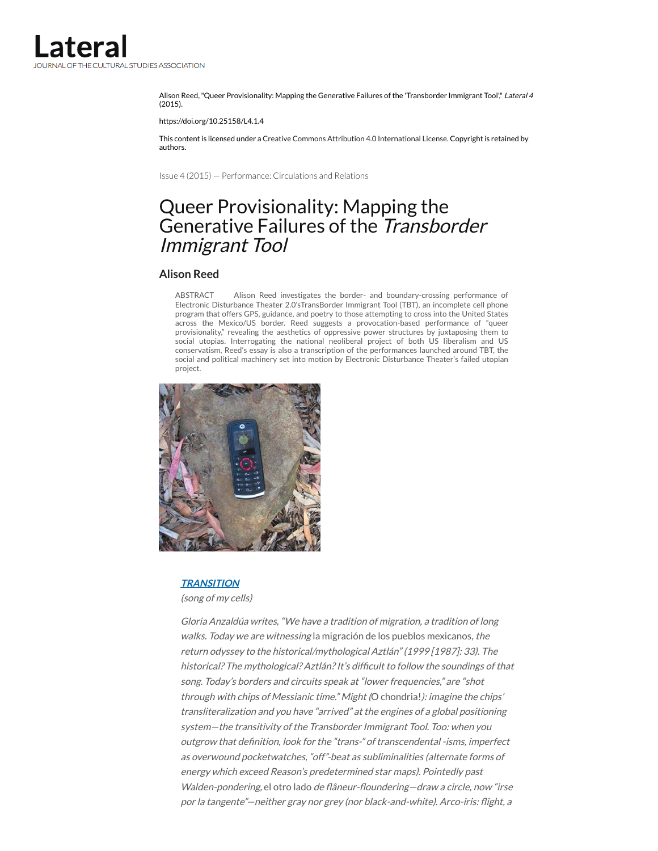Alison Reed, "Queer Provisionality: Mapping the Generative Failures of the 'Transborder Immigrant Tool", Lateral 4 (2015).

https://doi.org/10.25158/L4.1.4

This content is licensed under a Creative Commons Attribution 4.0 [International](http://csalateral.org/issue/4/queer-provisionality-mapping-the-generative/) License. Copyright is retained by authors.

Issue 4 (2015) — [Performance:](http://csalateral.org/archive/issue/4/) Circulations and Relations

# Queer Provisionality: Mapping the Generative Failures of the Transborder Immigrant Tool

#### **[Alison](#page-24-0) Reed**

ABSTRACT Alison Reed investigates the border- and boundary-crossing performance of Electronic Disturbance Theater 2.0'sTransBorder Immigrant Tool (TBT), an incomplete cell phone program that offers GPS, guidance, and poetry to those attempting to cross into the United States across the Mexico/US border. Reed suggests a provocation-based performance of "queer provisionality," revealing the aesthetics of oppressive power structures by juxtaposing them to social utopias. Interrogating the national neoliberal project of both US liberalism and US conservatism, Reed's essay is also a transcription of the performances launched around TBT, the social and political machinery set into motion by Electronic Disturbance Theater's failed utopian project.



#### **[TRANSITION](http://content.yudu.com/Library/A1v2bb/insecurity21/resources/49.htm)**

(song of my cells)

Gloria Anzaldúa writes, "We have <sup>a</sup> tradition of migration, <sup>a</sup> tradition of long walks. Today we are witnessing la migración de los pueblos mexicanos, the return odyssey to the historical/mythological Aztlán" (1999 [1987]: 33). The historical? The mythological? Aztlán? It's difficult to follow the soundings of that song. Today's borders and circuits speak at "lower frequencies," are "shot through with chips of Messianic time." Might (O chondria!): imagine the chips' transliteralization and you have "arrived" at the engines of <sup>a</sup> global positioning system—the transitivity of the Transborder Immigrant Tool. Too: when you outgrow that definition, look for the "trans-" of transcendental -isms, imperfect as overwound pocketwatches, "off"-beat as subliminalities (alternate forms of energy which exceed Reason's predetermined star maps). Pointedly past Walden-pondering, el otro lado de flâneur-floundering-draw a circle, now "irse por la tangente"-neither gray nor grey (nor black-and-white). Arco-iris: flight, a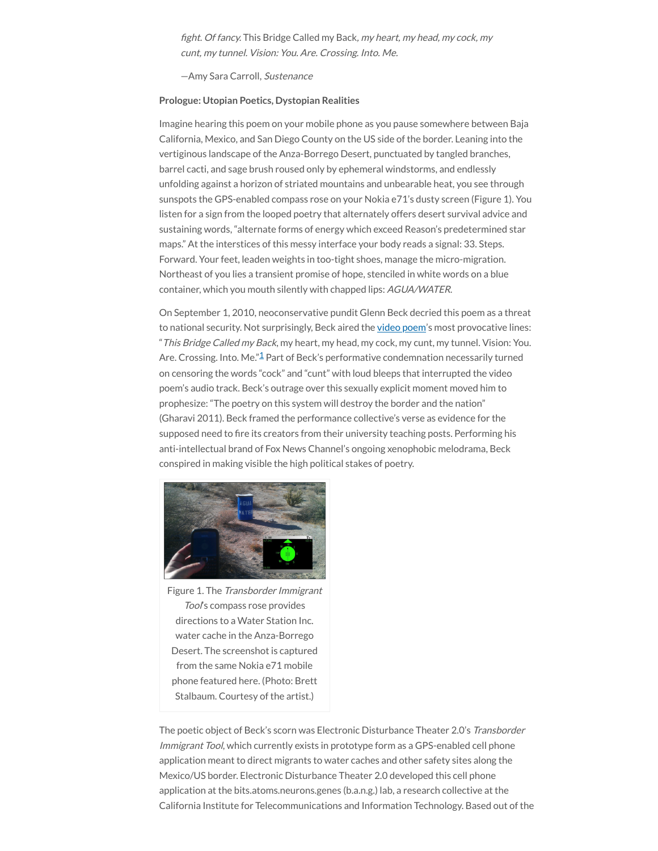fight. Of fancy. This Bridge Called my Back, my heart, my head, my cock, my cunt, my tunnel. Vision: You. Are. Crossing. Into. Me.

—Amy Sara Carroll, Sustenance

#### **Prologue: Utopian Poetics, Dystopian Realities**

Imagine hearing this poem on your mobile phone as you pause somewhere between Baja California, Mexico, and San Diego County on the US side of the border. Leaning into the vertiginous landscape of the Anza-Borrego Desert, punctuated by tangled branches, barrel cacti, and sage brush roused only by ephemeral windstorms, and endlessly unfolding against a horizon of striated mountains and unbearable heat, you see through sunspots the GPS-enabled compass rose on your Nokia e71's dusty screen (Figure 1). You listen for a sign from the looped poetry that alternately offers desert survival advice and sustaining words, "alternate forms of energy which exceed Reason's predetermined star maps." At the interstices of this messy interface your body reads a signal: 33. Steps. Forward. Your feet, leaden weights in too-tight shoes, manage the micro-migration. Northeast of you lies a transient promise of hope, stenciled in white words on a blue container, which you mouth silently with chapped lips: AGUA/WATER.

On September 1, 2010, neoconservative pundit Glenn Beck decried this poem as a threat to national security. Not surprisingly, Beck aired the video [poem'](http://vimeo.com/6109723)s most provocative lines: "This Bridge Called my Back, my heart, my head, my cock, my cunt, my tunnel. Vision: You. Are. Crossing. Into. Me."<sup>[1](#page-21-0)</sup> Part of Beck's performative condemnation necessarily turned on censoring the words "cock" and "cunt" with loud bleeps that interrupted the video poem's audio track. Beck's outrage over this sexually explicit moment moved him to prophesize: "The poetry on this system will destroy the border and the nation" (Gharavi 2011). Beck framed the performance collective's verse as evidence for the supposed need to fire its creators from their university teaching posts. Performing his anti-intellectual brand of Fox News Channel's ongoing xenophobic melodrama, Beck conspired in making visible the high political stakes of poetry.



Figure 1. The Transborder Immigrant Tool's compass rose provides directions to a Water Station Inc. water cache in the Anza-Borrego Desert. The screenshot is captured from the same Nokia e71 mobile phone featured here. (Photo: Brett Stalbaum. Courtesy of the artist.)

The poetic object of Beck's scorn was Electronic Disturbance Theater 2.0's Transborder Immigrant Tool, which currently exists in prototype form as a GPS-enabled cell phone application meant to direct migrants to water caches and other safety sites along the Mexico/US border. Electronic Disturbance Theater 2.0 developed this cell phone application at the bits.atoms.neurons.genes (b.a.n.g.) lab, a research collective at the California Institute for Telecommunications and Information Technology. Based out of the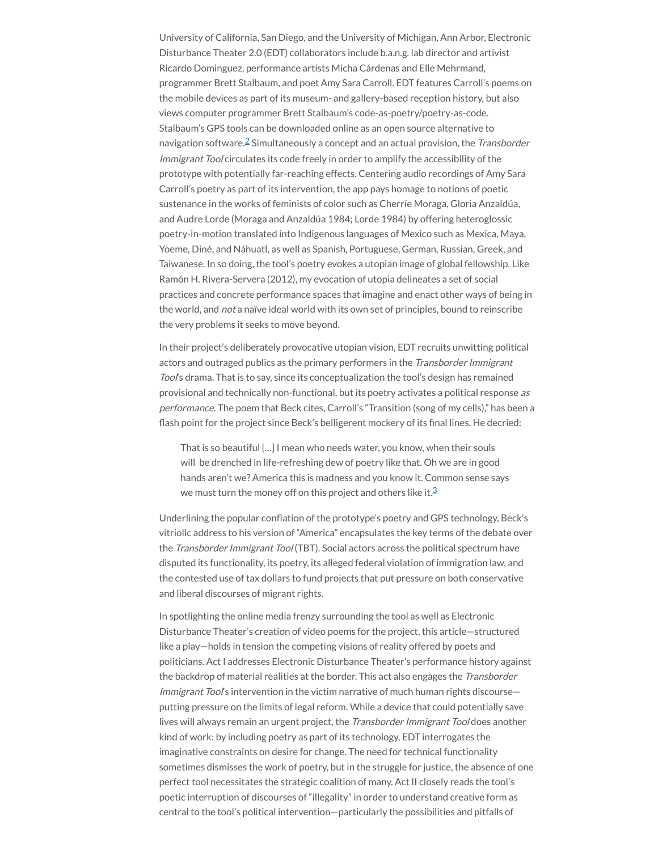University of California, San Diego, and the University of Michigan, Ann Arbor, Electronic Disturbance Theater 2.0 (EDT) collaborators include b.a.n.g. lab director and artivist Ricardo Dominguez, performance artists Micha Cárdenas and Elle Mehrmand, programmer Brett Stalbaum, and poet Amy Sara Carroll. EDT features Carroll's poems on the mobile devices as part of its museum- and gallery-based reception history, but also views computer programmer Brett Stalbaum's code-as-poetry/poetry-as-code. Stalbaum's GPS tools can be downloaded online as an open source alternative to navigation software. $\widehat{=}$  Simultaneously a concept and an actual provision, the *Transborder* Immigrant Tool circulates its code freely in order to amplify the accessibility of the prototype with potentially far-reaching effects. Centering audio recordings of Amy Sara Carroll's poetry as part of its intervention, the app pays homage to notions of poetic sustenance in the works of feminists of color such as Cherríe Moraga, Gloria Anzaldúa, and Audre Lorde (Moraga and Anzaldúa 1984; Lorde 1984) by offering heteroglossic poetry-in-motion translated into Indigenous languages of Mexico such as Mexica, Maya, Yoeme, Diné, and Náhuatl, as well as Spanish, Portuguese, German, Russian, Greek, and Taiwanese. In so doing, the tool's poetry evokes a utopian image of global fellowship. Like Ramón H. Rivera-Servera (2012), my evocation of utopia delineates a set of social practices and concrete performance spaces that imagine and enact other ways of being in the world, and not a naïve ideal world with its own set of principles, bound to reinscribe the very problems it seeks to move beyond.

In their project's deliberately provocative utopian vision, EDT recruits unwitting political actors and outraged publics as the primary performers in the Transborder Immigrant Tool's drama. That is to say, since its conceptualization the tool's design has remained provisional and technically non-functional, but its poetry activates a political response as performance. The poem that Beck cites, Carroll's "Transition (song of my cells)," has been a flash point for the project since Beck's belligerent mockery of its final lines. He decried:

That is so beautiful […] I mean who needs water, you know, when their souls will be drenched in life-refreshing dew of poetry like that. Oh we are in good hands aren't we? America this is madness and you know it. Common sense says we must turn the money off on this project and others like it. $^3$  $^3$ 

Underlining the popular conflation of the prototype's poetry and GPS technology, Beck's vitriolic address to his version of "America" encapsulates the key terms of the debate over the Transborder Immigrant Tool (TBT). Social actors across the political spectrum have disputed its functionality, its poetry, its alleged federal violation of immigration law, and the contested use of tax dollars to fund projects that put pressure on both conservative and liberal discourses of migrant rights.

In spotlighting the online media frenzy surrounding the tool as well as Electronic Disturbance Theater's creation of video poems for the project, this article—structured like a play—holds in tension the competing visions of reality offered by poets and politicians. Act I addresses Electronic Disturbance Theater's performance history against the backdrop of material realities at the border. This act also engages the Transborder Immigrant Tool's intervention in the victim narrative of much human rights discourseputting pressure on the limits of legal reform. While a device that could potentially save lives will always remain an urgent project, the Transborder Immigrant Tool does another kind of work: by including poetry as part of its technology, EDT interrogates the imaginative constraints on desire for change. The need for technical functionality sometimes dismisses the work of poetry, but in the struggle for justice, the absence of one perfect tool necessitates the strategic coalition of many. Act II closely reads the tool's poetic interruption of discourses of "illegality" in order to understand creative form as central to the tool's political intervention—particularly the possibilities and pitfalls of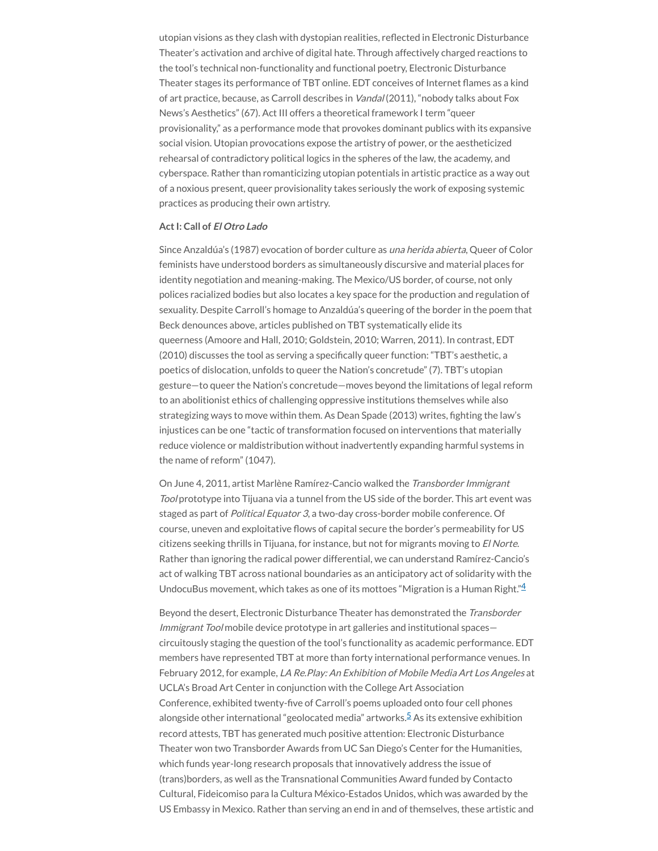utopian visions as they clash with dystopian realities, reflected in Electronic Disturbance Theater's activation and archive of digital hate. Through affectively charged reactions to the tool's technical non-functionality and functional poetry, Electronic Disturbance Theater stages its performance of TBT online. EDT conceives of Internet flames as a kind of art practice, because, as Carroll describes in Vandal (2011), "nobody talks about Fox News's Aesthetics" (67). Act III offers a theoretical framework I term "queer provisionality," as a performance mode that provokes dominant publics with its expansive social vision. Utopian provocations expose the artistry of power, or the aestheticized rehearsal of contradictory political logics in the spheres of the law, the academy, and cyberspace. Rather than romanticizing utopian potentials in artistic practice as a way out of a noxious present, queer provisionality takes seriously the work of exposing systemic practices as producing their own artistry.

#### **ActI: Call of El Otro Lado**

Since Anzaldúa's (1987) evocation of border culture as una herida abierta, Queer of Color feminists have understood borders as simultaneously discursive and material places for identity negotiation and meaning-making. The Mexico/US border, of course, not only polices racialized bodies but also locates a key space for the production and regulation of sexuality. Despite Carroll's homage to Anzaldúa's queering of the border in the poem that Beck denounces above, articles published on TBT systematically elide its queerness (Amoore and Hall, 2010; Goldstein, 2010; Warren, 2011). In contrast, EDT (2010) discusses the tool as serving a specifically queer function: "TBT's aesthetic, a poetics of dislocation, unfolds to queer the Nation's concretude" (7). TBT's utopian gesture—to queer the Nation's concretude—moves beyond the limitations of legal reform to an abolitionist ethics of challenging oppressive institutions themselves while also strategizing ways to move within them. As Dean Spade (2013) writes, fighting the law's injustices can be one "tactic of transformation focused on interventions that materially reduce violence or maldistribution without inadvertently expanding harmful systems in the name of reform" (1047).

On June 4, 2011, artist Marlène Ramírez-Cancio walked the Transborder Immigrant Tool prototype into Tijuana via a tunnel from the US side of the border. This art event was staged as part of Political Equator 3, a two-day cross-border mobile conference. Of course, uneven and exploitative flows of capital secure the border's permeability for US citizens seeking thrills in Tijuana, for instance, but not for migrants moving to El Norte. Rather than ignoring the radical power differential, we can understand Ramírez-Cancio's act of walking TBT across national boundaries as an anticipatory act of solidarity with the UndocuBus movement, which takes as one of its mottoes "Migration is a Human Right." $4$ 

Beyond the desert, Electronic Disturbance Theater has demonstrated the Transborder Immigrant Tool mobile device prototype in art galleries and institutional spaces circuitously staging the question of the tool's functionality as academic performance. EDT members have represented TBT at more than forty international performance venues. In February 2012, for example, LA Re. Play: An Exhibition of Mobile Media Art Los Angeles at UCLA's Broad Art Center in conjunction with the College Art Association Conference, exhibited twenty-five of Carroll's poems uploaded onto four cell phones alongside other international "geolocated media" artworks.<sup>[5](#page-22-0)</sup> As its extensive exhibition record attests, TBT has generated much positive attention: Electronic Disturbance Theater won two Transborder Awards from UC San Diego's Center for the Humanities, which funds year-long research proposals that innovatively address the issue of (trans)borders, as well as the Transnational Communities Award funded by Contacto Cultural, Fideicomiso para la Cultura México-Estados Unidos, which was awarded by the US Embassy in Mexico. Rather than serving an end in and of themselves, these artistic and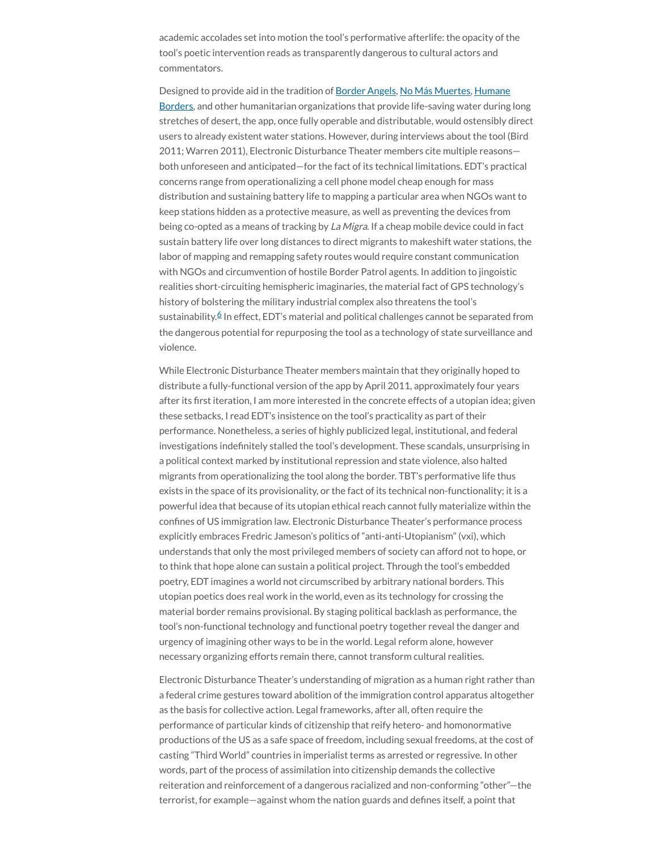academic accolades set into motion the tool's performative afterlife: the opacity of the tool's poetic intervention reads as transparently dangerous to cultural actors and commentators.

Designed to provide aid in the tradition of [Border](http://borderangels.org/) Angels, No Más [Muertes](http://forms.nomoredeaths.org/en/), Humane Borders, and other humanitarian [organizations](http://www.humaneborders.org/) that provide life-saving water during long stretches of desert, the app, once fully operable and distributable, would ostensibly direct users to already existent water stations. However, during interviews about the tool (Bird 2011; Warren 2011), Electronic Disturbance Theater members cite multiple reasons both unforeseen and anticipated—for the fact of its technical limitations. EDT's practical concerns range from operationalizing a cell phone model cheap enough for mass distribution and sustaining battery life to mapping a particular area when NGOs want to keep stations hidden as a protective measure, as well as preventing the devices from being co-opted as a means of tracking by La Migra. If a cheap mobile device could in fact sustain battery life over long distances to direct migrants to makeshift water stations, the labor of mapping and remapping safety routes would require constant communication with NGOs and circumvention of hostile Border Patrol agents. In addition to jingoistic realities short-circuiting hemispheric imaginaries, the material fact of GPS technology's history of bolstering the military industrial complex also threatens the tool's sustainability.<sup>[6](#page-22-1)</sup> In effect, EDT's material and political challenges cannot be separated from the dangerous potential for repurposing the tool as a technology of state surveillance and violence.

While Electronic Disturbance Theater members maintain that they originally hoped to distribute a fully-functional version of the app by April 2011, approximately four years after its first iteration, I am more interested in the concrete effects of a utopian idea; given these setbacks, I read EDT's insistence on the tool's practicality as part of their performance. Nonetheless, a series of highly publicized legal, institutional, and federal investigations indefinitely stalled the tool's development. These scandals, unsurprising in a political context marked by institutional repression and state violence, also halted migrants from operationalizing the tool along the border. TBT's performative life thus exists in the space of its provisionality, or the fact of its technical non-functionality; it is a powerful idea that because of its utopian ethical reach cannot fully materialize within the confines of US immigration law. Electronic Disturbance Theater's performance process explicitly embraces Fredric Jameson's politics of "anti-anti-Utopianism" (vxi), which understands that only the most privileged members of society can afford not to hope, or to think that hope alone can sustain a political project. Through the tool's embedded poetry, EDT imagines a world not circumscribed by arbitrary national borders. This utopian poetics does real work in the world, even as its technology for crossing the material border remains provisional. By staging political backlash as performance, the tool's non-functional technology and functional poetry together reveal the danger and urgency of imagining other ways to be in the world. Legal reform alone, however necessary organizing efforts remain there, cannot transform cultural realities.

Electronic Disturbance Theater's understanding of migration as a human right rather than a federal crime gestures toward abolition of the immigration control apparatus altogether as the basis for collective action. Legal frameworks, after all, often require the performance of particular kinds of citizenship that reify hetero- and homonormative productions of the US as a safe space of freedom, including sexual freedoms, at the cost of casting "Third World" countries in imperialist terms as arrested or regressive. In other words, part of the process of assimilation into citizenship demands the collective reiteration and reinforcement of a dangerous racialized and non-conforming "other"—the terrorist, for example—against whom the nation guards and defines itself, a point that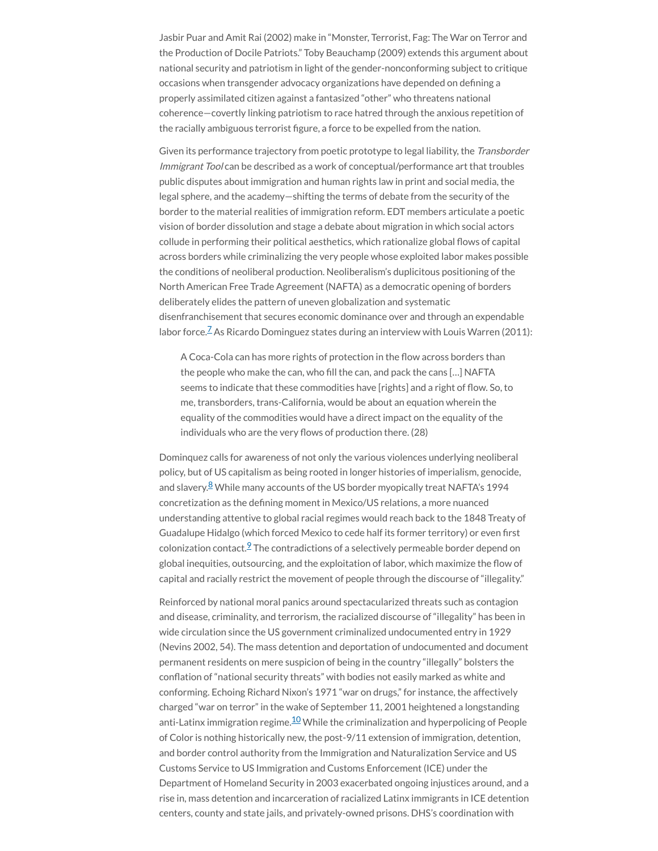Jasbir Puar and Amit Rai (2002) make in "Monster, Terrorist, Fag: The War on Terror and the Production of Docile Patriots." Toby Beauchamp (2009) extends this argument about national security and patriotism in light of the gender-nonconforming subject to critique occasions when transgender advocacy organizations have depended on defining a properly assimilated citizen against a fantasized "other" who threatens national coherence—covertly linking patriotism to race hatred through the anxious repetition of the racially ambiguous terrorist figure, a force to be expelled from the nation.

Given its performance trajectory from poetic prototype to legal liability, the Transborder Immigrant Tool can be described as a work of conceptual/performance art that troubles public disputes about immigration and human rights law in print and social media, the legal sphere, and the academy—shifting the terms of debate from the security of the border to the material realities of immigration reform. EDT members articulate a poetic vision of border dissolution and stage a debate about migration in which social actors collude in performing their political aesthetics, which rationalize global flows of capital across borders while criminalizing the very people whose exploited labor makes possible the conditions of neoliberal production. Neoliberalism's duplicitous positioning of the North American Free Trade Agreement (NAFTA) as a democratic opening of borders deliberately elides the pattern of uneven globalization and systematic disenfranchisement that secures economic dominance over and through an expendable labor force.<sup> $2$ </sup> As Ricardo Dominguez states during an interview with Louis Warren (2011):

A Coca-Cola can has more rights of protection in the flow across borders than the people who make the can, who fill the can, and pack the cans [...] NAFTA seems to indicate that these commodities have [rights] and a right of flow. So, to me, transborders, trans-California, would be about an equation wherein the equality of the commodities would have a direct impact on the equality of the individuals who are the very flows of production there. (28)

Dominquez calls for awareness of not only the various violences underlying neoliberal policy, but of US capitalism as being rooted in longer histories of imperialism, genocide, and slavery.<sup>[8](#page-22-3)</sup> While many accounts of the US border myopically treat NAFTA's 1994 concretization as the defining moment in Mexico/US relations, a more nuanced understanding attentive to global racial regimes would reach back to the 1848 Treaty of Guadalupe Hidalgo (which forced Mexico to cede half its former territory) or even first colonization contact. $2$  The contradictions of a selectively permeable border depend on global inequities, outsourcing, and the exploitation of labor, which maximize the flow of capital and racially restrict the movement of people through the discourse of "illegality."

Reinforced by national moral panics around spectacularized threats such as contagion and disease, criminality, and terrorism, the racialized discourse of "illegality" has been in wide circulation since the US government criminalized undocumented entry in 1929 (Nevins 2002, 54). The mass detention and deportation of undocumented and document permanent residents on mere suspicion of being in the country "illegally" bolsters the conflation of "national security threats" with bodies not easily marked as white and conforming. Echoing Richard Nixon's 1971 "war on drugs," for instance, the affectively charged "war on terror" in the wake of September 11, 2001 heightened a longstanding anti-Latinx immigration regime.<sup>[10](#page-22-5)</sup> While the criminalization and hyperpolicing of People of Color is nothing historically new, the post-9/11 extension of immigration, detention, and border control authority from the Immigration and Naturalization Service and US Customs Service to US Immigration and Customs Enforcement (ICE) under the Department of Homeland Security in 2003 exacerbated ongoing injustices around, and a rise in, mass detention and incarceration of racialized Latinx immigrants in ICE detention centers, county and state jails, and privately-owned prisons. DHS's coordination with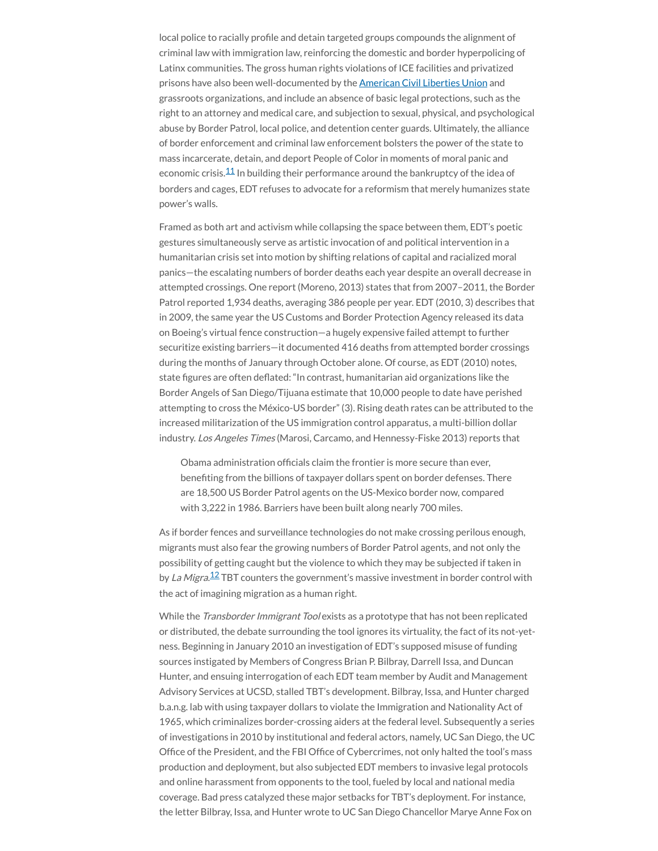local police to racially profile and detain targeted groups compounds the alignment of criminal law with immigration law, reinforcing the domestic and border hyperpolicing of Latinx communities. The gross human rights violations of ICE facilities and privatized prisons have also been well-documented by the **[American](https://www.aclu.org/) Civil Liberties Union** and grassroots organizations, and include an absence of basic legal protections, such as the right to an attorney and medical care, and subjection to sexual, physical, and psychological abuse by Border Patrol, local police, and detention center guards. Ultimately, the alliance of border enforcement and criminal law enforcement bolsters the power of the state to mass incarcerate, detain, and deport People of Color in moments of moral panic and economic crisis. $11$  In building their performance around the bankruptcy of the idea of borders and cages, EDT refuses to advocate for a reformism that merely humanizes state power's walls.

Framed as both art and activism while collapsing the space between them, EDT's poetic gestures simultaneously serve as artistic invocation of and political intervention in a humanitarian crisis set into motion by shifting relations of capital and racialized moral panics—the escalating numbers of border deaths each year despite an overall decrease in attempted crossings. One report (Moreno, 2013) states that from 2007–2011, the Border Patrol reported 1,934 deaths, averaging 386 people per year. EDT (2010, 3) describes that in 2009, the same year the US Customs and Border Protection Agency released its data on Boeing's virtual fence construction—a hugely expensive failed attempt to further securitize existing barriers—it documented 416 deaths from attempted border crossings during the months of January through October alone. Of course, as EDT (2010) notes, state figures are often deflated: "In contrast, humanitarian aid organizations like the Border Angels of San Diego/Tijuana estimate that 10,000 people to date have perished attempting to cross the México-US border" (3). Rising death rates can be attributed to the increased militarization of the US immigration control apparatus, a multi-billion dollar industry. Los Angeles Times (Marosi, Carcamo, and Hennessy-Fiske 2013) reports that

Obama administration officials claim the frontier is more secure than ever, benefiting from the billions of taxpayer dollars spent on border defenses. There are 18,500 US Border Patrol agents on the US-Mexico border now, compared with 3,222 in 1986. Barriers have been built along nearly 700 miles.

As if border fences and surveillance technologies do not make crossing perilous enough, migrants must also fear the growing numbers of Border Patrol agents, and not only the possibility of getting caught but the violence to which they may be subjected if taken in by *La Migra*.<sup>[12](#page-22-7)</sup> TBT counters the government's massive investment in border control with the act of imagining migration as a human right.

While the *Transborder Immigrant Tool* exists as a prototype that has not been replicated or distributed, the debate surrounding the tool ignores its virtuality, the fact of its not-yetness. Beginning in January 2010 an investigation of EDT's supposed misuse of funding sources instigated by Members of Congress Brian P. Bilbray, Darrell Issa, and Duncan Hunter, and ensuing interrogation of each EDT team member by Audit and Management Advisory Services at UCSD, stalled TBT's development. Bilbray, Issa, and Hunter charged b.a.n.g. lab with using taxpayer dollars to violate the Immigration and Nationality Act of 1965, which criminalizes border-crossing aiders at the federal level. Subsequently a series of investigations in 2010 by institutional and federal actors, namely, UC San Diego, the UC Office of the President, and the FBI Office of Cybercrimes, not only halted the tool's mass production and deployment, but also subjected EDT members to invasive legal protocols and online harassment from opponents to the tool, fueled by local and national media coverage. Bad press catalyzed these major setbacks for TBT's deployment. For instance, the letter Bilbray, Issa, and Hunter wrote to UC San Diego Chancellor Marye Anne Fox on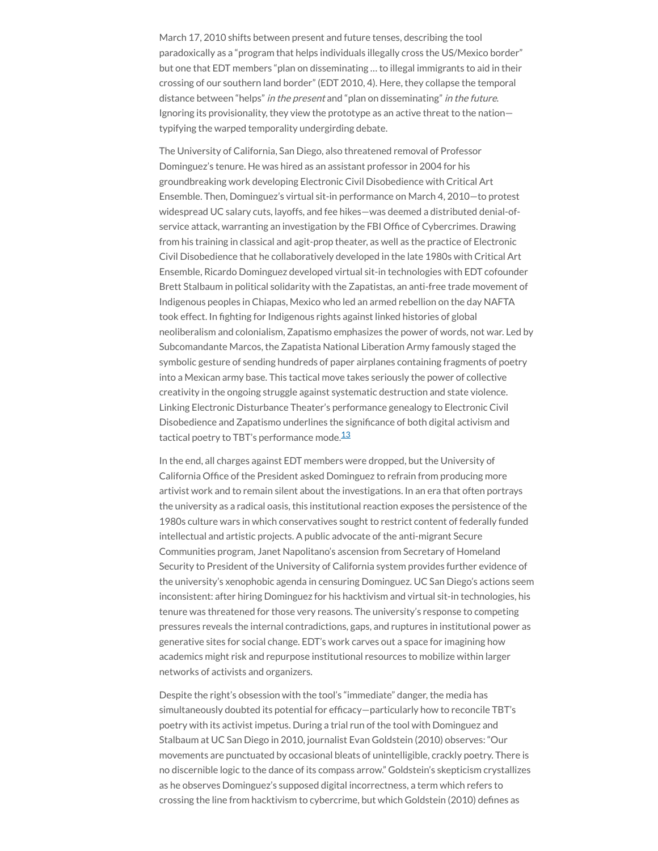March 17, 2010 shifts between present and future tenses, describing the tool paradoxically as a "program that helps individuals illegally cross the US/Mexico border" but one that EDT members "plan on disseminating … to illegal immigrants to aid in their crossing of our southern land border" (EDT 2010, 4). Here, they collapse the temporal distance between "helps" in the present and "plan on disseminating" in the future. Ignoring its provisionality, they view the prototype as an active threat to the nation typifying the warped temporality undergirding debate.

The University of California, San Diego, also threatened removal of Professor Dominguez's tenure. He was hired as an assistant professor in 2004 for his groundbreaking work developing Electronic Civil Disobedience with Critical Art Ensemble. Then, Dominguez's virtual sit-in performance on March 4, 2010—to protest widespread UC salary cuts, layoffs, and fee hikes—was deemed a distributed denial-ofservice attack, warranting an investigation by the FBI Office of Cybercrimes. Drawing from his training in classical and agit-prop theater, as well as the practice of Electronic Civil Disobedience that he collaboratively developed in the late 1980s with Critical Art Ensemble, Ricardo Dominguez developed virtual sit-in technologies with EDT cofounder Brett Stalbaum in political solidarity with the Zapatistas, an anti-free trade movement of Indigenous peoples in Chiapas, Mexico who led an armed rebellion on the day NAFTA took effect. In fighting for Indigenous rights against linked histories of global neoliberalism and colonialism, Zapatismo emphasizes the power of words, not war. Led by Subcomandante Marcos, the Zapatista National Liberation Army famously staged the symbolic gesture of sending hundreds of paper airplanes containing fragments of poetry into a Mexican army base. This tactical move takes seriously the power of collective creativity in the ongoing struggle against systematic destruction and state violence. Linking Electronic Disturbance Theater's performance genealogy to Electronic Civil Disobedience and Zapatismo underlines the significance of both digital activism and tactical poetry to TBT's performance mode.<sup>[13](#page-22-8)</sup>

In the end, all charges against EDT members were dropped, but the University of California Office of the President asked Dominguez to refrain from producing more artivist work and to remain silent about the investigations. In an era that often portrays the university as a radical oasis, this institutional reaction exposes the persistence of the 1980s culture wars in which conservatives sought to restrict content of federally funded intellectual and artistic projects. A public advocate of the anti-migrant Secure Communities program, Janet Napolitano's ascension from Secretary of Homeland Security to President of the University of California system provides further evidence of the university's xenophobic agenda in censuring Dominguez. UC San Diego's actions seem inconsistent: after hiring Dominguez for his hacktivism and virtual sit-in technologies, his tenure was threatened for those very reasons. The university's response to competing pressures reveals the internal contradictions, gaps, and ruptures in institutional power as generative sites for social change. EDT's work carves out a space for imagining how academics might risk and repurpose institutional resources to mobilize within larger networks of activists and organizers.

Despite the right's obsession with the tool's "immediate" danger, the media has simultaneously doubted its potential for efficacy-particularly how to reconcile TBT's poetry with its activist impetus. During a trial run of the tool with Dominguez and Stalbaum at UC San Diego in 2010, journalist Evan Goldstein (2010) observes: "Our movements are punctuated by occasional bleats of unintelligible, crackly poetry. There is no discernible logic to the dance of its compass arrow." Goldstein's skepticism crystallizes as he observes Dominguez's supposed digital incorrectness, a term which refers to crossing the line from hacktivism to cybercrime, but which Goldstein (2010) defines as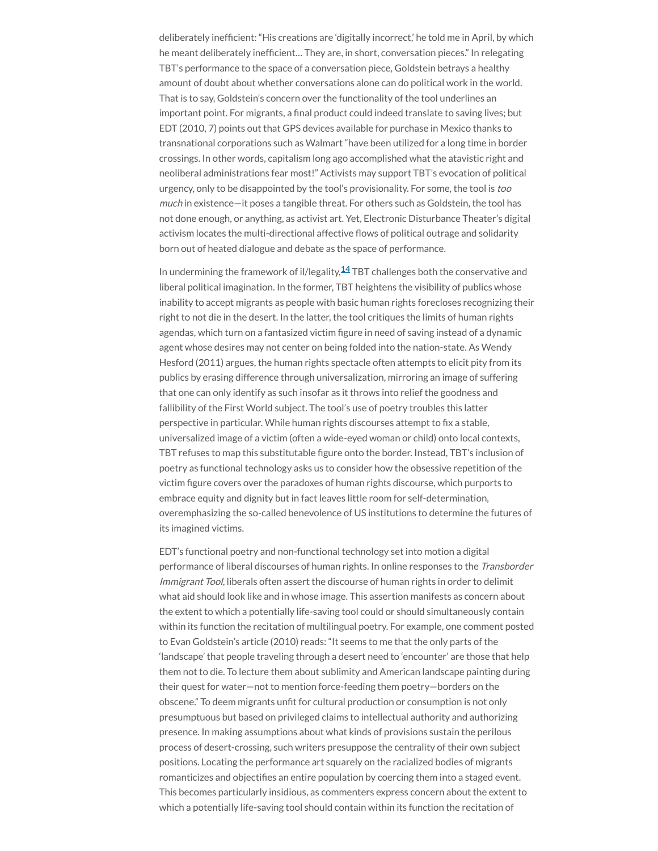deliberately inefficient: "His creations are 'digitally incorrect,' he told me in April, by which he meant deliberately inefficient... They are, in short, conversation pieces." In relegating TBT's performance to the space of a conversation piece, Goldstein betrays a healthy amount of doubt about whether conversations alone can do political work in the world. That is to say, Goldstein's concern over the functionality of the tool underlines an important point. For migrants, a final product could indeed translate to saving lives; but EDT (2010, 7) points out that GPS devices available for purchase in Mexico thanks to transnational corporations such as Walmart "have been utilized for a long time in border crossings. In other words, capitalism long ago accomplished what the atavistic right and neoliberal administrations fear most!" Activists may support TBT's evocation of political urgency, only to be disappointed by the tool's provisionality. For some, the tool is too much in existence—it poses a tangible threat. For others such as Goldstein, the tool has not done enough, or anything, as activist art. Yet, Electronic Disturbance Theater's digital activism locates the multi-directional affective flows of political outrage and solidarity born out of heated dialogue and debate as the space of performance.

In undermining the framework of il/legality, $\frac{14}{18}$  $\frac{14}{18}$  $\frac{14}{18}$ TBT challenges both the conservative and liberal political imagination. In the former, TBT heightens the visibility of publics whose inability to accept migrants as people with basic human rights forecloses recognizing their right to not die in the desert. In the latter, the tool critiques the limits of human rights agendas, which turn on a fantasized victim figure in need of saving instead of a dynamic agent whose desires may not center on being folded into the nation-state. As Wendy Hesford (2011) argues, the human rights spectacle often attempts to elicit pity from its publics by erasing difference through universalization, mirroring an image of suffering that one can only identify as such insofar as it throws into relief the goodness and fallibility of the First World subject. The tool's use of poetry troubles this latter perspective in particular. While human rights discourses attempt to fix a stable, universalized image of a victim (often a wide-eyed woman or child) onto local contexts, TBT refuses to map this substitutable figure onto the border. Instead, TBT's inclusion of poetry as functional technology asks us to consider how the obsessive repetition of the victim figure covers over the paradoxes of human rights discourse, which purports to embrace equity and dignity but in fact leaves little room for self-determination, overemphasizing the so-called benevolence of US institutions to determine the futures of its imagined victims.

EDT's functional poetry and non-functional technology set into motion a digital performance of liberal discourses of human rights. In online responses to the Transborder Immigrant Tool, liberals often assert the discourse of human rights in order to delimit what aid should look like and in whose image. This assertion manifests as concern about the extent to which a potentially life-saving tool could or should simultaneously contain within its function the recitation of multilingual poetry. For example, one comment posted to Evan Goldstein's article (2010) reads: "It seems to me that the only parts of the 'landscape' that people traveling through a desert need to 'encounter' are those that help them not to die. To lecture them about sublimity and American landscape painting during their quest for water—not to mention force-feeding them poetry—borders on the obscene." To deem migrants unfit for cultural production or consumption is not only presumptuous but based on privileged claims to intellectual authority and authorizing presence. In making assumptions about what kinds of provisions sustain the perilous process of desert-crossing, such writers presuppose the centrality of their own subject positions. Locating the performance art squarely on the racialized bodies of migrants romanticizes and objectifies an entire population by coercing them into a staged event. This becomes particularly insidious, as commenters express concern about the extent to which a potentially life-saving tool should contain within its function the recitation of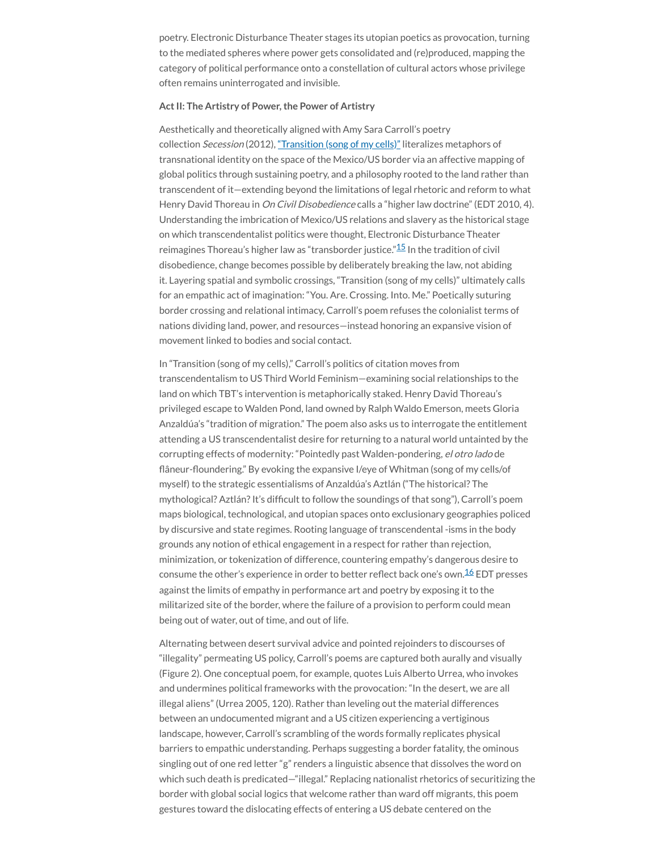poetry. Electronic Disturbance Theater stages its utopian poetics as provocation, turning to the mediated spheres where power gets consolidated and (re)produced, mapping the category of political performance onto a constellation of cultural actors whose privilege often remains uninterrogated and invisible.

#### **ActII: The Artistry of Power,the Power of Artistry**

Aesthetically and theoretically aligned with Amy Sara Carroll's poetry collection Secession (2012), ["Transition](http://vimeo.com/6109723) (song of my cells)" literalizes metaphors of transnational identity on the space of the Mexico/US border via an affective mapping of global politics through sustaining poetry, and a philosophy rooted to the land rather than transcendent of it—extending beyond the limitations of legal rhetoric and reform to what Henry David Thoreau in On Civil Disobedience calls a "higher law doctrine" (EDT 2010, 4). Understanding the imbrication of Mexico/US relations and slavery as the historical stage on which transcendentalist politics were thought, Electronic Disturbance Theater reimagines Thoreau's higher law as "transborder justice."<sup>[15](#page-23-1)</sup> In the tradition of civil disobedience, change becomes possible by deliberately breaking the law, not abiding it. Layering spatial and symbolic crossings, "Transition (song of my cells)" ultimately calls for an empathic act of imagination: "You. Are. Crossing. Into. Me." Poetically suturing border crossing and relational intimacy, Carroll's poem refuses the colonialist terms of nations dividing land, power, and resources—instead honoring an expansive vision of movement linked to bodies and social contact.

In "Transition (song of my cells)," Carroll's politics of citation moves from transcendentalism to US Third World Feminism—examining social relationships to the land on which TBT's intervention is metaphorically staked. Henry David Thoreau's privileged escape to Walden Pond, land owned by Ralph Waldo Emerson, meets Gloria Anzaldúa's "tradition of migration." The poem also asks us to interrogate the entitlement attending a US transcendentalist desire for returning to a natural world untainted by the corrupting effects of modernity: "Pointedly past Walden-pondering, el otro lado de flâneur-floundering." By evoking the expansive I/eye of Whitman (song of my cells/of myself) to the strategic essentialisms of Anzaldúa's Aztlán ("The historical? The mythological? Aztlán? It's difficult to follow the soundings of that song"), Carroll's poem maps biological, technological, and utopian spaces onto exclusionary geographies policed by discursive and state regimes. Rooting language of transcendental -isms in the body grounds any notion of ethical engagement in a respect for rather than rejection, minimization, or tokenization of difference, countering empathy's dangerous desire to consume the other's experience in order to better reflect back one's own.<sup>[16](#page-23-2)</sup> EDT presses against the limits of empathy in performance art and poetry by exposing it to the militarized site of the border, where the failure of a provision to perform could mean being out of water, out of time, and out of life.

Alternating between desert survival advice and pointed rejoinders to discourses of "illegality" permeating US policy, Carroll's poems are captured both aurally and visually (Figure 2). One conceptual poem, for example, quotes Luis Alberto Urrea, who invokes and undermines political frameworks with the provocation: "In the desert, we are all illegal aliens" (Urrea 2005, 120). Rather than leveling out the material differences between an undocumented migrant and a US citizen experiencing a vertiginous landscape, however, Carroll's scrambling of the words formally replicates physical barriers to empathic understanding. Perhaps suggesting a border fatality, the ominous singling out of one red letter "g" renders a linguistic absence that dissolves the word on which such death is predicated—"illegal." Replacing nationalist rhetorics of securitizing the border with global social logics that welcome rather than ward off migrants, this poem gestures toward the dislocating effects of entering a US debate centered on the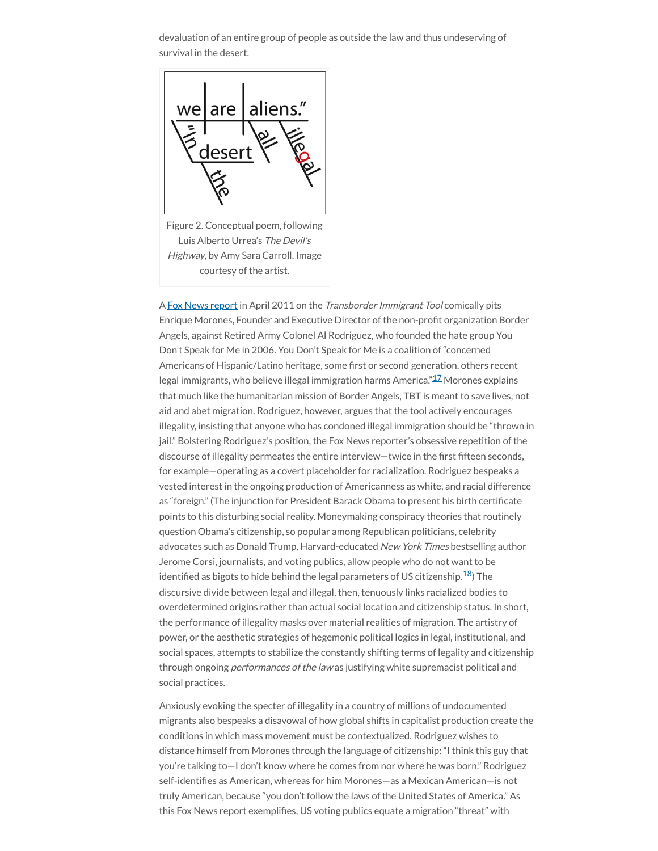devaluation of an entire group of people as outside the law and thus undeserving of survival in the desert.



Figure 2. Conceptual poem, following Luis Alberto Urrea's The Devil's Highway, by Amy Sara Carroll. Image courtesy of the artist.

A Fox News [report](http://video.foxnews.com/v/3955297/transborder-immigrant-tool/#sp=show-clips) in April 2011 on the Transborder Immigrant Tool comically pits Enrique Morones, Founder and Executive Director of the non-profit organization Border Angels, against Retired Army Colonel Al Rodriguez, who founded the hate group You Don't Speak for Me in 2006. You Don't Speak for Me is a coalition of "concerned Americans of Hispanic/Latino heritage, some first or second generation, others recent legal immigrants, who believe illegal immigration harms America."<sup>[17](#page-23-3)</sup> Morones explains that much like the humanitarian mission of Border Angels, TBT is meant to save lives, not aid and abet migration. Rodriguez, however, argues that the tool actively encourages illegality, insisting that anyone who has condoned illegal immigration should be "thrown in jail." Bolstering Rodriguez's position, the Fox News reporter's obsessive repetition of the discourse of illegality permeates the entire interview—twice in the first fifteen seconds, for example—operating as a covert placeholder for racialization. Rodriguez bespeaks a vested interest in the ongoing production of Americanness as white, and racial difference as "foreign." (The injunction for President Barack Obama to present his birth certificate points to this disturbing social reality. Moneymaking conspiracy theories that routinely question Obama's citizenship, so popular among Republican politicians, celebrity advocates such as Donald Trump, Harvard-educated New York Times bestselling author Jerome Corsi, journalists, and voting publics, allow people who do not want to be identified as bigots to hide behind the legal parameters of US citizenship.<sup>[18](#page-23-4)</sup>) The discursive divide between legal and illegal, then, tenuously links racialized bodies to overdetermined origins rather than actual social location and citizenship status. In short, the performance of illegality masks over material realities of migration. The artistry of power, or the aesthetic strategies of hegemonic political logics in legal, institutional, and social spaces, attempts to stabilize the constantly shifting terms of legality and citizenship through ongoing performances of the law as justifying white supremacist political and social practices.

Anxiously evoking the specter of illegality in a country of millions of undocumented migrants also bespeaks a disavowal of how global shifts in capitalist production create the conditions in which mass movement must be contextualized. Rodriguez wishes to distance himself from Morones through the language of citizenship: "I think this guy that you're talking to—I don't know where he comes from nor where he was born." Rodriguez self-identifies as American, whereas for him Morones—as a Mexican American—is not truly American, because "you don't follow the laws of the United States of America." As this Fox News report exemplifies, US voting publics equate a migration "threat" with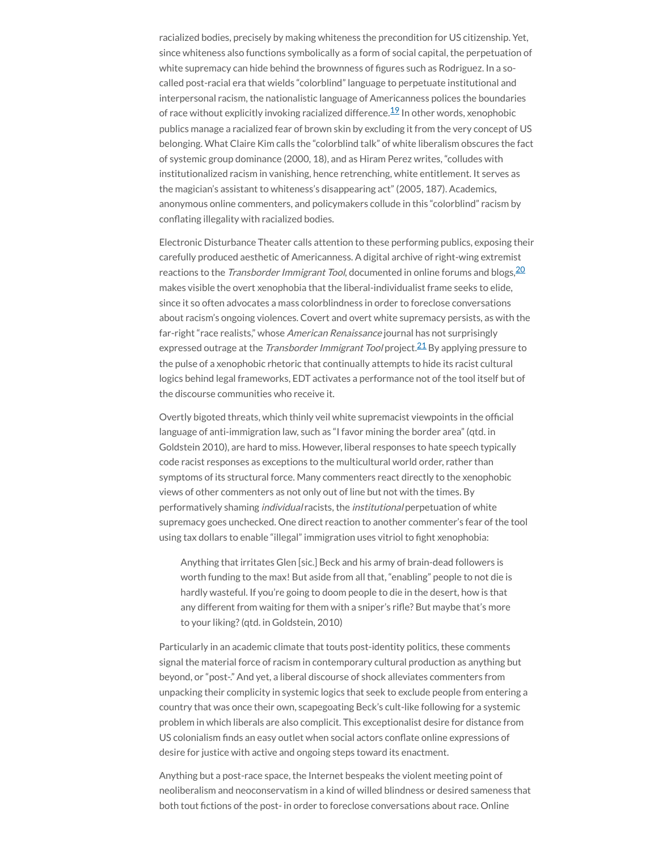racialized bodies, precisely by making whiteness the precondition for US citizenship. Yet, since whiteness also functions symbolically as a form of social capital, the perpetuation of white supremacy can hide behind the brownness of figures such as Rodriguez. In a socalled post-racial era that wields "colorblind" language to perpetuate institutional and interpersonal racism, the nationalistic language of Americanness polices the boundaries of race without explicitly invoking racialized difference. $^{19}$  $^{19}$  $^{19}$  In other words, xenophobic publics manage a racialized fear of brown skin by excluding it from the very concept of US belonging. What Claire Kim calls the "colorblind talk" of white liberalism obscures the fact of systemic group dominance (2000, 18), and as Hiram Perez writes, "colludes with institutionalized racism in vanishing, hence retrenching, white entitlement. It serves as the magician's assistant to whiteness's disappearing act" (2005, 187). Academics, anonymous online commenters, and policymakers collude in this "colorblind" racism by conflating illegality with racialized bodies.

Electronic Disturbance Theater calls attention to these performing publics, exposing their carefully produced aesthetic of Americanness. A digital archive of right-wing extremist reactions to the *Transborder Immigrant Tool*, documented in online forums and blogs,<sup>[20](#page-23-6)</sup> makes visible the overt xenophobia that the liberal-individualist frame seeks to elide, since it so often advocates a mass colorblindness in order to foreclose conversations about racism's ongoing violences. Covert and overt white supremacy persists, as with the far-right "race realists," whose American Renaissance journal has not surprisingly expressed outrage at the *Transborder Immigrant Tool* project.<sup>[21](#page-23-7)</sup> By applying pressure to the pulse of a xenophobic rhetoric that continually attempts to hide its racist cultural logics behind legal frameworks, EDT activates a performance not of the tool itself but of the discourse communities who receive it.

Overtly bigoted threats, which thinly veil white supremacist viewpoints in the official language of anti-immigration law, such as "I favor mining the border area" (qtd. in Goldstein 2010), are hard to miss. However, liberal responses to hate speech typically code racist responses as exceptions to the multicultural world order, rather than symptoms of its structural force. Many commenters react directly to the xenophobic views of other commenters as not only out of line but not with the times. By performatively shaming individual racists, the institutional perpetuation of white supremacy goes unchecked. One direct reaction to another commenter's fear of the tool using tax dollars to enable "illegal" immigration uses vitriol to fight xenophobia:

Anything that irritates Glen [sic.] Beck and his army of brain-dead followers is worth funding to the max! But aside from all that, "enabling" people to not die is hardly wasteful. If you're going to doom people to die in the desert, how is that any different from waiting for them with a sniper's rifle? But maybe that's more to your liking?(qtd. in Goldstein, 2010)

Particularly in an academic climate that touts post-identity politics, these comments signal the material force of racism in contemporary cultural production as anything but beyond, or "post-." And yet, a liberal discourse of shock alleviates commenters from unpacking their complicity in systemic logics that seek to exclude people from entering a country that was once their own, scapegoating Beck's cult-like following for a systemic problem in which liberals are also complicit. This exceptionalist desire for distance from US colonialism finds an easy outlet when social actors conflate online expressions of desire for justice with active and ongoing steps toward its enactment.

Anything but a post-race space, the Internet bespeaks the violent meeting point of neoliberalism and neoconservatism in a kind of willed blindness or desired sameness that both tout fictions of the post- in order to foreclose conversations about race. Online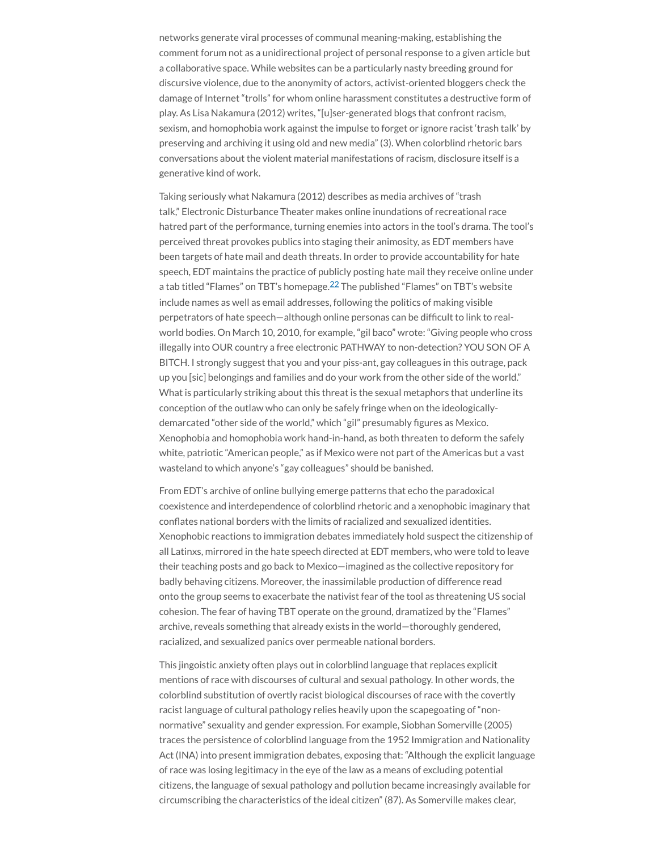networks generate viral processes of communal meaning-making, establishing the comment forum not as a unidirectional project of personal response to a given article but a collaborative space. While websites can be a particularly nasty breeding ground for discursive violence, due to the anonymity of actors, activist-oriented bloggers check the damage of Internet "trolls" for whom online harassment constitutes a destructive form of play. As Lisa Nakamura (2012) writes, "[u]ser-generated blogs that confront racism, sexism, and homophobia work against the impulse to forget or ignore racist 'trash talk' by preserving and archiving it using old and new media" (3). When colorblind rhetoric bars conversations about the violent material manifestations of racism, disclosure itself is a generative kind of work.

Taking seriously what Nakamura (2012) describes as media archives of "trash talk," Electronic Disturbance Theater makes online inundations of recreational race hatred part of the performance, turning enemies into actors in the tool's drama. The tool's perceived threat provokes publics into staging their animosity, as EDT members have been targets of hate mail and death threats. In order to provide accountability for hate speech, EDT maintains the practice of publicly posting hate mail they receive online under a tab titled "Flames" on TBT's homepage.<sup>[22](#page-23-8)</sup> The published "Flames" on TBT's website include names as well as email addresses, following the politics of making visible perpetrators of hate speech—although online personas can be difcult to link to realworld bodies. On March 10, 2010, for example, "gil baco" wrote: "Giving people who cross illegally into OUR country a free electronic PATHWAY to non-detection? YOU SON OF A BITCH. I strongly suggest that you and your piss-ant, gay colleagues in this outrage, pack up you [sic] belongings and families and do your work from the other side of the world." What is particularly striking about this threat is the sexual metaphors that underline its conception of the outlaw who can only be safely fringe when on the ideologicallydemarcated "other side of the world," which "gil" presumably figures as Mexico. Xenophobia and homophobia work hand-in-hand, as both threaten to deform the safely white, patriotic "American people," as if Mexico were not part of the Americas but a vast wasteland to which anyone's "gay colleagues" should be banished.

From EDT's archive of online bullying emerge patterns that echo the paradoxical coexistence and interdependence of colorblind rhetoric and a xenophobic imaginary that conflates national borders with the limits of racialized and sexualized identities. Xenophobic reactions to immigration debates immediately hold suspect the citizenship of all Latinxs, mirrored in the hate speech directed at EDT members, who were told to leave their teaching posts and go back to Mexico—imagined as the collective repository for badly behaving citizens. Moreover, the inassimilable production of difference read onto the group seems to exacerbate the nativist fear of the tool as threatening US social cohesion. The fear of having TBT operate on the ground, dramatized by the "Flames" archive, reveals something that already exists in the world—thoroughly gendered, racialized, and sexualized panics over permeable national borders.

This jingoistic anxiety often plays out in colorblind language that replaces explicit mentions of race with discourses of cultural and sexual pathology. In other words, the colorblind substitution of overtly racist biological discourses of race with the covertly racist language of cultural pathology relies heavily upon the scapegoating of "nonnormative" sexuality and gender expression. For example, Siobhan Somerville (2005) traces the persistence of colorblind language from the 1952 Immigration and Nationality Act (INA) into present immigration debates, exposing that: "Although the explicit language of race was losing legitimacy in the eye of the law as a means of excluding potential citizens, the language of sexual pathology and pollution became increasingly available for circumscribing the characteristics of the ideal citizen" (87). As Somerville makes clear,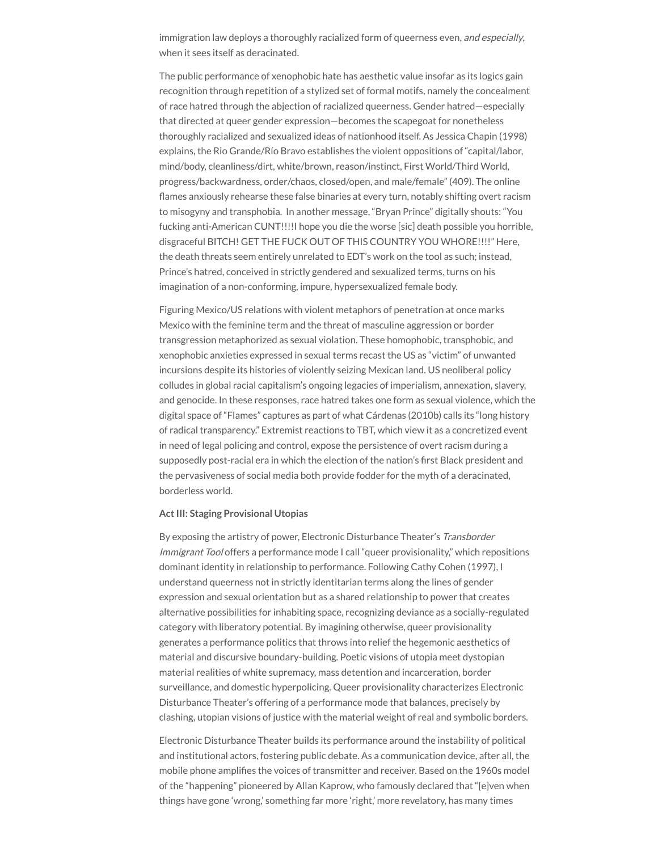immigration law deploys a thoroughly racialized form of queerness even, and especially, when it sees itself as deracinated.

The public performance of xenophobic hate has aesthetic value insofar as its logics gain recognition through repetition of a stylized set of formal motifs, namely the concealment of race hatred through the abjection of racialized queerness. Gender hatred—especially that directed at queer gender expression—becomes the scapegoat for nonetheless thoroughly racialized and sexualized ideas of nationhood itself. As Jessica Chapin (1998) explains, the Rio Grande/Río Bravo establishes the violent oppositions of "capital/labor, mind/body, cleanliness/dirt, white/brown, reason/instinct, First World/Third World, progress/backwardness, order/chaos, closed/open, and male/female" (409). The online flames anxiously rehearse these false binaries at every turn, notably shifting overt racism to misogyny and transphobia. In another message, "Bryan Prince" digitally shouts: "You fucking anti-American CUNT!!!!I hope you die the worse [sic] death possible you horrible, disgraceful BITCH! GET THE FUCK OUT OF THIS COUNTRY YOU WHORE!!!!" Here, the death threats seem entirely unrelated to EDT's work on the tool as such; instead, Prince's hatred, conceived in strictly gendered and sexualized terms, turns on his imagination of a non-conforming, impure, hypersexualized female body.

Figuring Mexico/US relations with violent metaphors of penetration at once marks Mexico with the feminine term and the threat of masculine aggression or border transgression metaphorized as sexual violation. These homophobic, transphobic, and xenophobic anxieties expressed in sexual terms recast the US as "victim" of unwanted incursions despite its histories of violently seizing Mexican land. US neoliberal policy colludes in global racial capitalism's ongoing legacies of imperialism, annexation, slavery, and genocide. In these responses, race hatred takes one form as sexual violence, which the digital space of "Flames" captures as part of what Cárdenas (2010b) calls its "long history of radical transparency." Extremist reactions to TBT, which view it as a concretized event in need of legal policing and control, expose the persistence of overt racism during a supposedly post-racial era in which the election of the nation's first Black president and the pervasiveness of social media both provide fodder for the myth of a deracinated, borderless world.

#### **ActIII: Staging Provisional Utopias**

By exposing the artistry of power, Electronic Disturbance Theater's Transborder Immigrant Tool offers a performance mode I call "queer provisionality," which repositions dominant identity in relationship to performance. Following Cathy Cohen (1997), I understand queerness not in strictly identitarian terms along the lines of gender expression and sexual orientation but as a shared relationship to power that creates alternative possibilities for inhabiting space, recognizing deviance as a socially-regulated category with liberatory potential. By imagining otherwise, queer provisionality generates a performance politics that throws into relief the hegemonic aesthetics of material and discursive boundary-building. Poetic visions of utopia meet dystopian material realities of white supremacy, mass detention and incarceration, border surveillance, and domestic hyperpolicing. Queer provisionality characterizes Electronic Disturbance Theater's offering of a performance mode that balances, precisely by clashing, utopian visions of justice with the material weight of real and symbolic borders.

Electronic Disturbance Theater builds its performance around the instability of political and institutional actors, fostering public debate. As a communication device, after all, the mobile phone amplifies the voices of transmitter and receiver. Based on the 1960s model of the "happening" pioneered by Allan Kaprow, who famously declared that "[e]ven when things have gone 'wrong,' something far more 'right,' more revelatory, has many times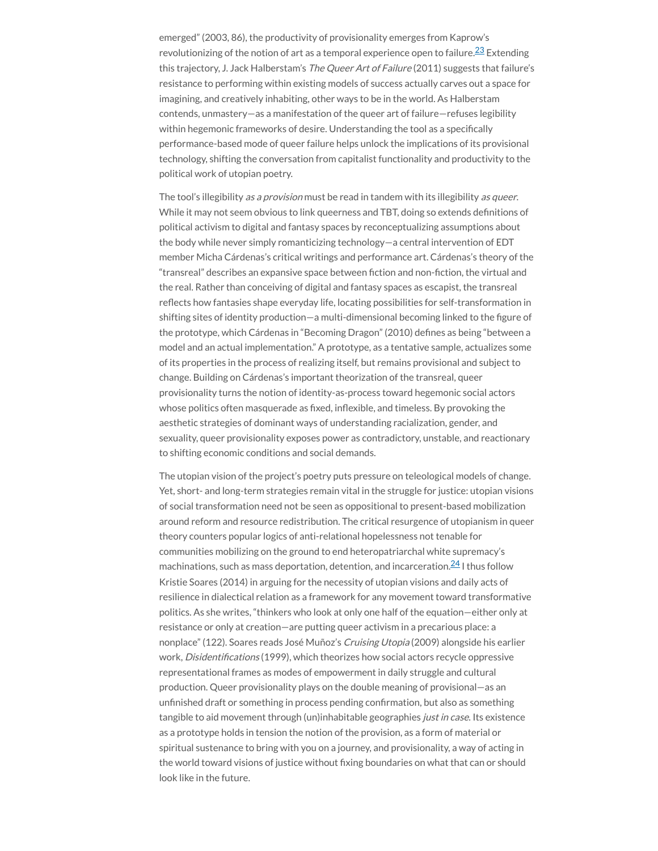emerged" (2003, 86), the productivity of provisionality emerges from Kaprow's revolutionizing of the notion of art as a temporal experience open to failure. $^{23}$  $^{23}$  $^{23}$  Extending this trajectory, J. Jack Halberstam's The Queer Art of Failure (2011) suggests that failure's resistance to performing within existing models of success actually carves out a space for imagining, and creatively inhabiting, other ways to be in the world. As Halberstam contends, unmastery—as a manifestation of the queer art of failure—refuses legibility within hegemonic frameworks of desire. Understanding the tool as a specifically performance-based mode of queer failure helps unlock the implications of its provisional technology, shifting the conversation from capitalist functionality and productivity to the political work of utopian poetry.

The tool's illegibility as a provision must be read in tandem with its illegibility as queer. While it may not seem obvious to link queerness and TBT, doing so extends definitions of political activism to digital and fantasy spaces by reconceptualizing assumptions about the body while never simply romanticizing technology—a central intervention of EDT member Micha Cárdenas's critical writings and performance art. Cárdenas's theory of the "transreal" describes an expansive space between fiction and non-fiction, the virtual and the real. Rather than conceiving of digital and fantasy spaces as escapist, the transreal reflects how fantasies shape everyday life, locating possibilities for self-transformation in shifting sites of identity production—a multi-dimensional becoming linked to the figure of the prototype, which Cárdenas in "Becoming Dragon" (2010) defines as being "between a model and an actual implementation." A prototype, as a tentative sample, actualizes some of its properties in the process of realizing itself, but remains provisional and subject to change. Building on Cárdenas's important theorization of the transreal, queer provisionality turns the notion of identity-as-process toward hegemonic social actors whose politics often masquerade as fixed, inflexible, and timeless. By provoking the aesthetic strategies of dominant ways of understanding racialization, gender, and sexuality, queer provisionality exposes power as contradictory, unstable, and reactionary to shifting economic conditions and social demands.

The utopian vision of the project's poetry puts pressure on teleological models of change. Yet, short- and long-term strategies remain vital in the struggle for justice: utopian visions of social transformation need not be seen as oppositional to present-based mobilization around reform and resource redistribution. The critical resurgence of utopianism in queer theory counters popular logics of anti-relational hopelessness not tenable for communities mobilizing on the ground to end heteropatriarchal white supremacy's machinations, such as mass deportation, detention, and incarceration.<sup>[24](#page-23-10)</sup> I thus follow Kristie Soares (2014) in arguing for the necessity of utopian visions and daily acts of resilience in dialectical relation as a framework for any movement toward transformative politics. As she writes, "thinkers who look at only one half of the equation—either only at resistance or only at creation—are putting queer activism in a precarious place: a nonplace" (122). Soares reads José Muñoz's Cruising Utopia (2009) alongside his earlier work, *Disidentifications* (1999), which theorizes how social actors recycle oppressive representational frames as modes of empowerment in daily struggle and cultural production. Queer provisionality plays on the double meaning of provisional—as an unfinished draft or something in process pending confirmation, but also as something tangible to aid movement through (un)inhabitable geographies just in case. Its existence as a prototype holds in tension the notion of the provision, as a form of material or spiritual sustenance to bring with you on a journey, and provisionality, a way of acting in the world toward visions of justice without fixing boundaries on what that can or should look like in the future.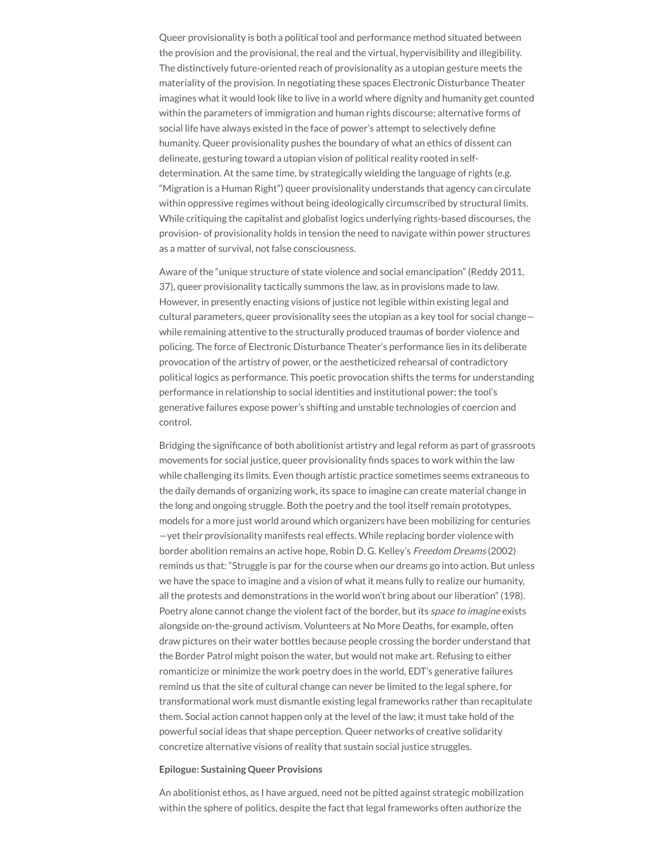Queer provisionality is both a political tool and performance method situated between the provision and the provisional, the real and the virtual, hypervisibility and illegibility. The distinctively future-oriented reach of provisionality as a utopian gesture meets the materiality of the provision. In negotiating these spaces Electronic Disturbance Theater imagines what it would look like to live in a world where dignity and humanity get counted within the parameters of immigration and human rights discourse; alternative forms of social life have always existed in the face of power's attempt to selectively define humanity. Queer provisionality pushes the boundary of what an ethics of dissent can delineate, gesturing toward a utopian vision of political reality rooted in selfdetermination. At the same time, by strategically wielding the language of rights (e.g. "Migration is a Human Right") queer provisionality understands that agency can circulate within oppressive regimes without being ideologically circumscribed by structural limits. While critiquing the capitalist and globalist logics underlying rights-based discourses, the provision- of provisionality holds in tension the need to navigate within power structures as a matter of survival, not false consciousness.

Aware of the "unique structure of state violence and social emancipation" (Reddy 2011, 37), queer provisionality tactically summons the law, as in provisions made to law. However, in presently enacting visions of justice not legible within existing legal and cultural parameters, queer provisionality sees the utopian as a key tool for social change while remaining attentive to the structurally produced traumas of border violence and policing. The force of Electronic Disturbance Theater's performance lies in its deliberate provocation of the artistry of power, or the aestheticized rehearsal of contradictory political logics as performance. This poetic provocation shifts the terms for understanding performance in relationship to social identities and institutional power; the tool's generative failures expose power's shifting and unstable technologies of coercion and control.

Bridging the significance of both abolitionist artistry and legal reform as part of grassroots movements for social justice, queer provisionality finds spaces to work within the law while challenging its limits. Even though artistic practice sometimes seems extraneous to the daily demands of organizing work, its space to imagine can create material change in the long and ongoing struggle. Both the poetry and the tool itself remain prototypes, models for a more just world around which organizers have been mobilizing for centuries —yet their provisionality manifests real effects. While replacing border violence with border abolition remains an active hope, Robin D. G. Kelley's Freedom Dreams (2002) reminds us that: "Struggle is par for the course when our dreams go into action. But unless we have the space to imagine and a vision of what it means fully to realize our humanity, all the protests and demonstrations in the world won't bring about our liberation" (198). Poetry alone cannot change the violent fact of the border, but its *space to imagine* exists alongside on-the-ground activism. Volunteers at No More Deaths, for example, often draw pictures on their water bottles because people crossing the border understand that the Border Patrol might poison the water, but would not make art. Refusing to either romanticize or minimize the work poetry does in the world, EDT's generative failures remind us that the site of cultural change can never be limited to the legal sphere, for transformational work must dismantle existing legal frameworks rather than recapitulate them. Social action cannot happen only at the level of the law; it must take hold of the powerful social ideas that shape perception. Queer networks of creative solidarity concretize alternative visions of reality that sustain social justice struggles.

#### **Epilogue: Sustaining Queer Provisions**

An abolitionist ethos, as I have argued, need not be pitted against strategic mobilization within the sphere of politics, despite the fact that legal frameworks often authorize the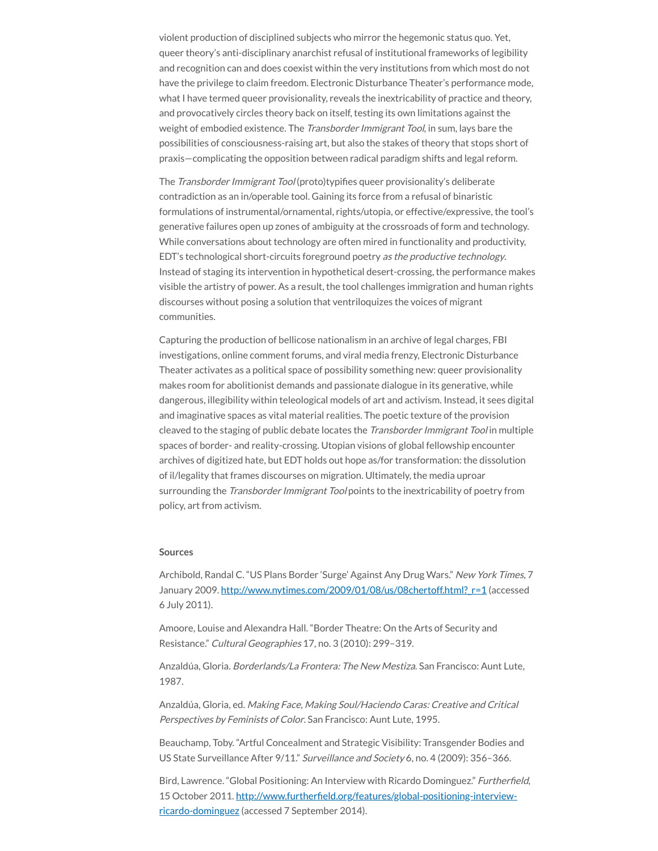violent production of disciplined subjects who mirror the hegemonic status quo. Yet, queer theory's anti-disciplinary anarchist refusal of institutional frameworks of legibility and recognition can and does coexist within the very institutions from which most do not have the privilege to claim freedom. Electronic Disturbance Theater's performance mode, what I have termed queer provisionality, reveals the inextricability of practice and theory, and provocatively circles theory back on itself, testing its own limitations against the weight of embodied existence. The *Transborder Immigrant Tool*, in sum, lays bare the possibilities of consciousness-raising art, but also the stakes of theory that stops short of praxis—complicating the opposition between radical paradigm shifts and legal reform.

The Transborder Immigrant Tool (proto)typifies queer provisionality's deliberate contradiction as an in/operable tool. Gaining its force from a refusal of binaristic formulations of instrumental/ornamental, rights/utopia, or effective/expressive, the tool's generative failures open up zones of ambiguity at the crossroads of form and technology. While conversations about technology are often mired in functionality and productivity, EDT's technological short-circuits foreground poetry as the productive technology. Instead of staging its intervention in hypothetical desert-crossing, the performance makes visible the artistry of power. As a result, the tool challenges immigration and human rights discourses without posing a solution that ventriloquizes the voices of migrant communities.

Capturing the production of bellicose nationalism in an archive of legal charges, FBI investigations, online comment forums, and viral media frenzy, Electronic Disturbance Theater activates as a political space of possibility something new: queer provisionality makes room for abolitionist demands and passionate dialogue in its generative, while dangerous, illegibility within teleological models of art and activism. Instead, it sees digital and imaginative spaces as vital material realities. The poetic texture of the provision cleaved to the staging of public debate locates the *Transborder Immigrant Tool* in multiple spaces of border- and reality-crossing. Utopian visions of global fellowship encounter archives of digitized hate, but EDT holds out hope as/for transformation: the dissolution of il/legality that frames discourses on migration. Ultimately, the media uproar surrounding the *Transborder Immigrant Tool* points to the inextricability of poetry from policy, art from activism.

#### **Sources**

Archibold, Randal C. "US Plans Border 'Surge' Against Any Drug Wars." New York Times, 7 January 2009. http://www.nytimes.com/2009/01/08/us/08chertoff.html? r=1 (accessed 6 July 2011).

Amoore, Louise and Alexandra Hall. "Border Theatre: On the Arts of Security and Resistance." Cultural Geographies 17, no. 3 (2010): 299–319.

Anzaldúa, Gloria. Borderlands/La Frontera: The New Mestiza. San Francisco: Aunt Lute, 1987.

Anzaldúa, Gloria, ed. Making Face, Making Soul/Haciendo Caras: Creative and Critical Perspectives by Feminists of Color. San Francisco: Aunt Lute, 1995.

Beauchamp, Toby. "Artful Concealment and Strategic Visibility: Transgender Bodies and US State Surveillance After 9/11." Surveillance and Society 6, no. 4 (2009): 356–366.

Bird, Lawrence. "Global Positioning: An Interview with Ricardo Dominguez." Furtherfield, 15 October 2011. http://www.furtherfield.org/features/global-positioning-interviewricardo-dominguez (accessed 7 September 2014).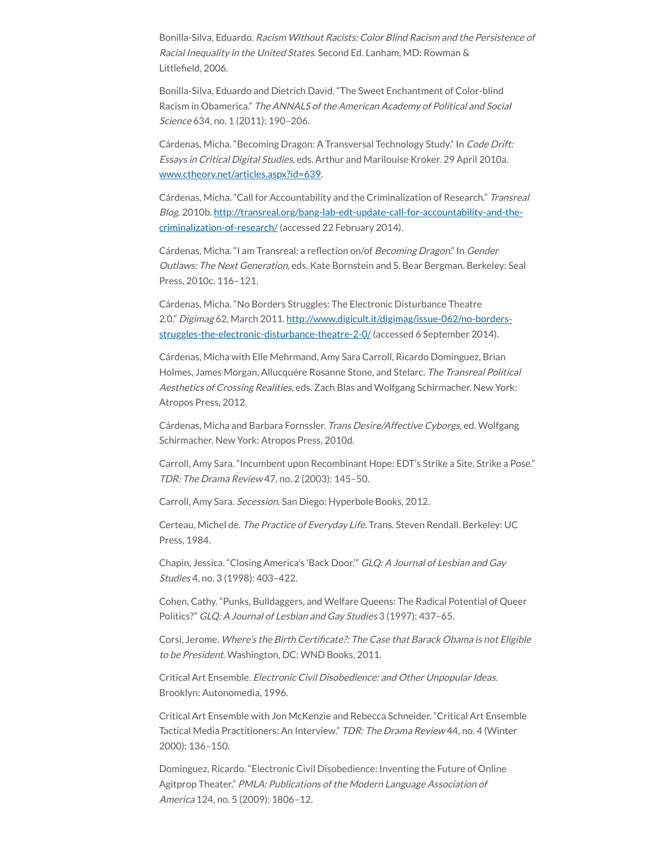Bonilla-Silva, Eduardo. Racism Without Racists: Color Blind Racism and the Persistence of Racial Inequality in the United States. Second Ed. Lanham, MD: Rowman & Littlefield, 2006.

Bonilla-Silva, Eduardo and Dietrich David. "The Sweet Enchantment of Color-blind Racism in Obamerica." The ANNALS of the American Academy of Political and Social Science 634, no. 1 (2011): 190–206.

Cárdenas, Micha. "Becoming Dragon: A Transversal Technology Study." In Code Drift: Essays in Critical Digital Studies, eds. Arthur and Marilouise Kroker. 29 April 2010a. [www.ctheory.net/articles.aspx?id=639.](http://www.ctheory.net/articles.aspx?id=639)

Cárdenas, Micha. "Call for Accountability and the Criminalization of Research." Transreal Blog. 2010b. [http://transreal.org/bang-lab-edt-update-call-for-accountability-and-the](http://transreal.org/bang-lab-edt-update-call-for-accountability-and-the-criminalization-of-research/)criminalization-of-research/ (accessed 22 February 2014).

Cárdenas, Micha. "I am Transreal: a reflection on/of Becoming Dragon." In Gender Outlaws: The Next Generation, eds. Kate Bornstein and S. Bear Bergman. Berkeley: Seal Press, 2010c. 116–121.

Cárdenas, Micha. "No Borders Struggles: The Electronic Disturbance Theatre 2.0." Digimag 62, March 2011. [http://www.digicult.it/digimag/issue-062/no-borders](http://www.digicult.it/digimag/issue-062/no-borders-struggles-the-electronic-disturbance-)struggles-the-electronic-disturbance-theatre-2-0/ (accessed 6 September 2014).

Cárdenas, Micha with Elle Mehrmand, Amy Sara Carroll, Ricardo Dominguez, Brian Holmes, James Morgan, Allucquére Rosanne Stone, and Stelarc. The Transreal Political Aesthetics of Crossing Realities, eds. Zach Blas and Wolfgang Schirmacher. New York: Atropos Press, 2012.

Cárdenas, Micha and Barbara Fornssler. Trans Desire/Affective Cyborgs, ed. Wolfgang Schirmacher. New York: Atropos Press, 2010d.

Carroll, Amy Sara. "Incumbent upon Recombinant Hope: EDT's Strike a Site, Strike a Pose." TDR: The Drama Review 47, no. 2 (2003): 145–50.

Carroll, Amy Sara. Secession. San Diego: Hyperbole Books, 2012.

Certeau, Michel de. The Practice of Everyday Life. Trans. Steven Rendall. Berkeley: UC Press, 1984.

Chapin, Jessica. "Closing America's 'Back Door.'" GLQ: A Journal of Lesbian and Gay Studies 4, no. 3 (1998): 403–422.

Cohen, Cathy. "Punks, Bulldaggers, and Welfare Queens: The Radical Potential of Queer Politics?" GLQ: A Journal of Lesbian and Gay Studies 3 (1997): 437–65.

Corsi, Jerome. Where's the Birth Certificate?: The Case that Barack Obama is not Eligible to be President. Washington, DC: WND Books, 2011.

Critical Art Ensemble. Electronic Civil Disobedience: and Other Unpopular Ideas. Brooklyn: Autonomedia, 1996.

Critical Art Ensemble with Jon McKenzie and Rebecca Schneider. "Critical Art Ensemble Tactical Media Practitioners: An Interview." TDR: The Drama Review 44, no. 4 (Winter 2000): 136–150.

Dominguez, Ricardo. "Electronic Civil Disobedience: Inventing the Future of Online Agitprop Theater." PMLA: Publications of the Modern Language Association of America 124, no. 5 (2009): 1806–12.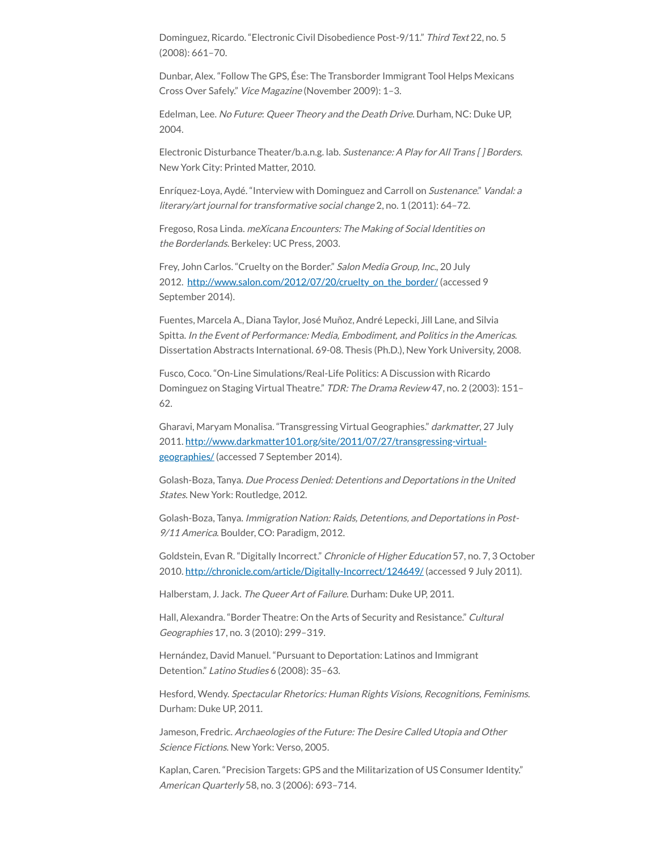Dominguez, Ricardo. "Electronic Civil Disobedience Post-9/11." Third Text 22, no. 5 (2008): 661–70.

Dunbar, Alex. "Follow The GPS, Ése: The Transborder Immigrant Tool Helps Mexicans Cross Over Safely." Vice Magazine (November 2009): 1–3.

Edelman, Lee. No Future: Queer Theory and the Death Drive. Durham, NC: Duke UP, 2004.

Electronic Disturbance Theater/b.a.n.g. lab. Sustenance: A Play for All Trans [] Borders. New York City: Printed Matter, 2010.

Enríquez-Loya, Aydé. "Interview with Dominguez and Carroll on Sustenance." Vandal: <sup>a</sup> literary/art journal for transformative social change 2, no. 1 (2011): 64–72.

Fregoso, Rosa Linda. meXicana Encounters: The Making of Social Identities on the Borderlands. Berkeley: UC Press, 2003.

Frey, John Carlos. "Cruelty on the Border." Salon Media Group, Inc., 20 July 2012. [http://www.salon.com/2012/07/20/cruelty\\_on\\_the\\_border/](http://www.salon.com/2012/07/20/cruelty_on_the_border/) (accessed 9 September 2014).

Fuentes, Marcela A., Diana Taylor, José Muñoz, André Lepecki, Jill Lane, and Silvia Spitta. In the Event of Performance: Media, Embodiment, and Politics in the Americas. Dissertation Abstracts International. 69-08. Thesis (Ph.D.), New York University, 2008.

Fusco, Coco. "On-Line Simulations/Real-Life Politics: A Discussion with Ricardo Dominguez on Staging Virtual Theatre." TDR: The Drama Review 47, no. 2 (2003): 151– 62.

Gharavi, Maryam Monalisa. "Transgressing Virtual Geographies." darkmatter, 27 July 2011. [http://www.darkmatter101.org/site/2011/07/27/transgressing-virtual](http://www.darkmatter101.org/site/2011/07/27/transgressing-virtual-geographies/)geographies/ (accessed 7 September 2014).

Golash-Boza, Tanya. Due Process Denied: Detentions and Deportations in the United States. New York: Routledge, 2012.

Golash-Boza, Tanya. Immigration Nation: Raids, Detentions, and Deportations in Post-9/11 America. Boulder, CO: Paradigm, 2012.

Goldstein, Evan R. "Digitally Incorrect." Chronicle of Higher Education 57, no. 7, 3 October 2010. <http://chronicle.com/article/Digitally-Incorrect/124649/> (accessed 9 July 2011).

Halberstam, J. Jack. The Queer Art of Failure. Durham: Duke UP, 2011.

Hall, Alexandra. "Border Theatre: On the Arts of Security and Resistance." Cultural Geographies 17, no. 3 (2010): 299–319.

Hernández, David Manuel. "Pursuant to Deportation: Latinos and Immigrant Detention." Latino Studies 6 (2008): 35–63.

Hesford, Wendy. Spectacular Rhetorics: Human Rights Visions, Recognitions, Feminisms. Durham: Duke UP, 2011.

Jameson, Fredric. Archaeologies of the Future: The Desire Called Utopia and Other Science Fictions. New York: Verso, 2005.

Kaplan, Caren. "Precision Targets: GPS and the Militarization of US Consumer Identity." American Quarterly 58, no. 3 (2006): 693–714.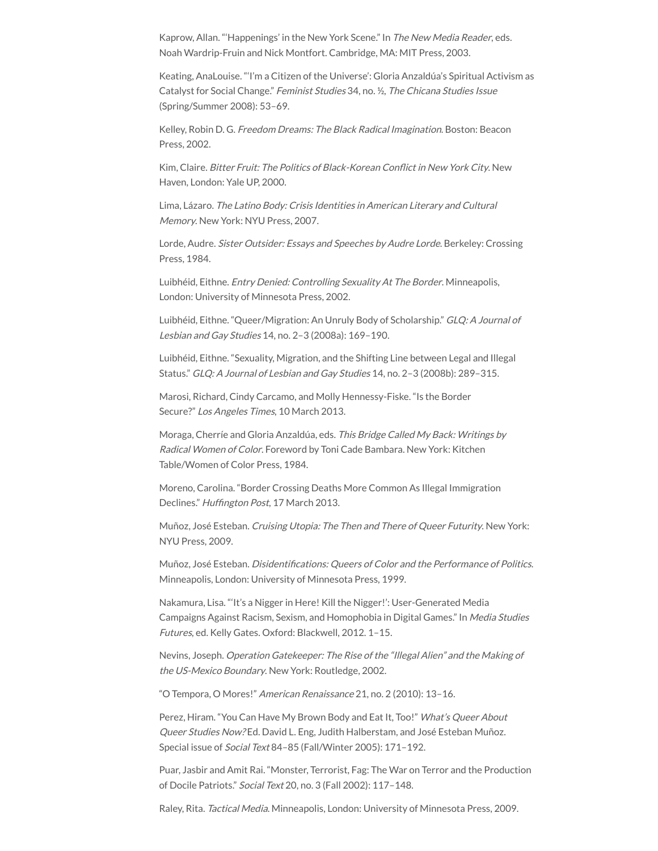Kaprow, Allan. "'Happenings' in the New York Scene." In The New Media Reader, eds. Noah Wardrip-Fruin and Nick Montfort. Cambridge, MA: MIT Press, 2003.

Keating, AnaLouise. "'I'm a Citizen of the Universe': Gloria Anzaldúa's Spiritual Activism as Catalyst for Social Change." Feminist Studies 34, no. ½, The Chicana Studies Issue (Spring/Summer 2008): 53–69.

Kelley, Robin D. G. Freedom Dreams: The Black Radical Imagination. Boston: Beacon Press, 2002.

Kim, Claire. Bitter Fruit: The Politics of Black-Korean Conflict in New York City. New Haven, London: Yale UP, 2000.

Lima, Lázaro. The Latino Body: Crisis Identities in American Literary and Cultural Memory. New York: NYU Press, 2007.

Lorde, Audre. Sister Outsider: Essays and Speeches by Audre Lorde. Berkeley: Crossing Press, 1984.

Luibhéid, Eithne. Entry Denied: Controlling Sexuality At The Border. Minneapolis, London: University of Minnesota Press, 2002.

Luibhéid, Eithne. "Queer/Migration: An Unruly Body of Scholarship." GLQ: A Journal of Lesbian and Gay Studies 14, no. 2–3 (2008a): 169–190.

Luibhéid, Eithne. "Sexuality, Migration, and the Shifting Line between Legal and Illegal Status." GLQ: A Journal of Lesbian and Gay Studies 14, no. 2–3 (2008b): 289–315.

Marosi, Richard, Cindy Carcamo, and Molly Hennessy-Fiske. "Is the Border Secure?" Los Angeles Times, 10 March 2013.

Moraga, Cherríe and Gloria Anzaldúa, eds. This Bridge Called My Back: Writings by Radical Women of Color. Foreword by Toni Cade Bambara. New York: Kitchen Table/Women of Color Press, 1984.

Moreno, Carolina. "Border Crossing Deaths More Common As Illegal Immigration Declines." Huffington Post, 17 March 2013.

Muñoz, José Esteban. Cruising Utopia: The Then and There of Queer Futurity. New York: NYU Press, 2009.

Muñoz, José Esteban. Disidentifications: Queers of Color and the Performance of Politics. Minneapolis, London: University of Minnesota Press, 1999.

Nakamura, Lisa. "'It's a Nigger in Here! Kill the Nigger!': User-Generated Media Campaigns Against Racism, Sexism, and Homophobia in Digital Games." In Media Studies Futures, ed. Kelly Gates. Oxford: Blackwell, 2012. 1–15.

Nevins, Joseph. Operation Gatekeeper: The Rise of the "Illegal Alien" and the Making of the US-Mexico Boundary. New York: Routledge, 2002.

"O Tempora, O Mores!" American Renaissance 21, no. 2 (2010): 13–16.

Perez, Hiram. "You Can Have My Brown Body and Eat It, Too!" What's Queer About Queer Studies Now? Ed. David L. Eng, Judith Halberstam, and José Esteban Muñoz. Special issue of Social Text 84–85 (Fall/Winter 2005): 171–192.

Puar, Jasbir and Amit Rai. "Monster, Terrorist, Fag: The War on Terror and the Production of Docile Patriots." Social Text 20, no. 3 (Fall 2002): 117–148.

Raley, Rita. Tactical Media. Minneapolis, London: University of Minnesota Press, 2009.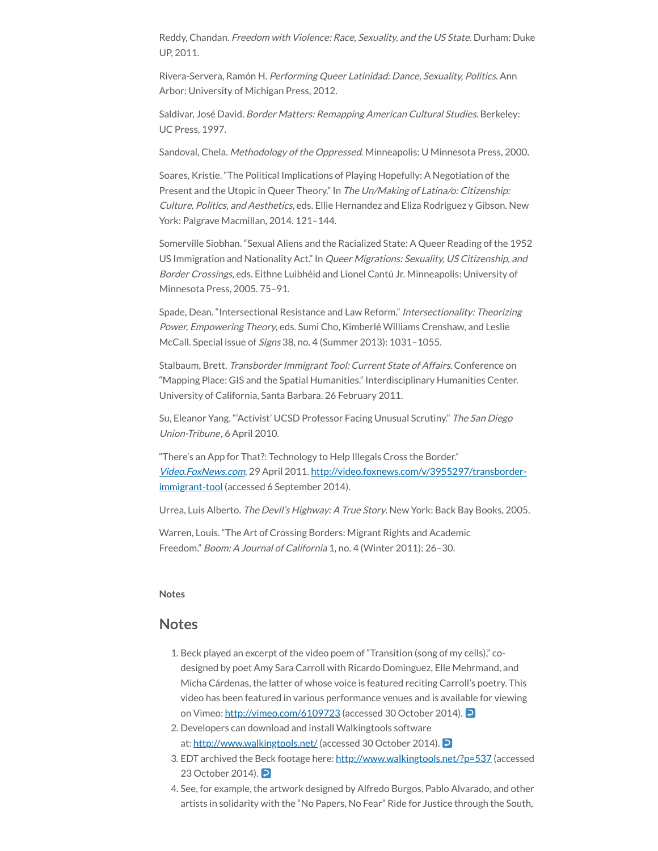Reddy, Chandan. Freedom with Violence: Race, Sexuality, and the US State. Durham: Duke UP, 2011.

Rivera-Servera, Ramón H. Performing Queer Latinidad: Dance, Sexuality, Politics. Ann Arbor: University of Michigan Press, 2012.

Saldívar, José David. Border Matters: Remapping American Cultural Studies. Berkeley: UC Press, 1997.

Sandoval, Chela. Methodology of the Oppressed. Minneapolis: U Minnesota Press, 2000.

Soares, Kristie. "The Political Implications of Playing Hopefully: A Negotiation of the Present and the Utopic in Queer Theory." In The Un/Making of Latina/o: Citizenship: Culture, Politics, and Aesthetics, eds. Ellie Hernandez and Eliza Rodriguez y Gibson. New York: Palgrave Macmillan, 2014. 121–144.

Somerville Siobhan. "Sexual Aliens and the Racialized State: A Queer Reading of the 1952 US Immigration and Nationality Act." In Queer Migrations: Sexuality, US Citizenship, and Border Crossings, eds. Eithne Luibhéid and Lionel Cantú Jr. Minneapolis: University of Minnesota Press, 2005. 75–91.

Spade, Dean. "Intersectional Resistance and Law Reform." Intersectionality: Theorizing Power, Empowering Theory, eds. Sumi Cho, Kimberlé Williams Crenshaw, and Leslie McCall. Special issue of Signs 38, no. 4 (Summer 2013): 1031–1055.

Stalbaum, Brett. Transborder Immigrant Tool: Current State of Affairs. Conference on "Mapping Place: GIS and the Spatial Humanities." Interdisciplinary Humanities Center. University of California, Santa Barbara. 26 February 2011.

Su, Eleanor Yang. "Activist' UCSD Professor Facing Unusual Scrutiny." The San Diego Union-Tribune, 6 April 2010.

"There's an App for That?: Technology to Help Illegals Cross the Border." [Video.FoxNews.com](http://video.foxnews.com/), 29 April 2011. [http://video.foxnews.com/v/3955297/transborder](http://video.foxnews.com/v/3955297/transborder-immigrant-tool)immigrant-tool (accessed 6 September 2014).

Urrea, Luis Alberto. The Devil's Highway: A True Story. New York: Back Bay Books, 2005.

Warren, Louis. "The Art of Crossing Borders: Migrant Rights and Academic Freedom." Boom: A Journal of California 1, no. 4 (Winter 2011): 26–30.

#### <span id="page-21-0"></span>**Notes**

## **Notes**

- <span id="page-21-2"></span><span id="page-21-1"></span>1. Beck played an excerpt of the video poem of "Transition (song of my cells)," codesigned by poet Amy Sara Carroll with Ricardo Dominguez, Elle Mehrmand, and Micha Cárdenas, the latter of whose voice is featured reciting Carroll's poetry. This video has been featured in various performance venues and is available for viewing on Vimeo: <http://vimeo.com/6109723> (accessed 30 October 2014).
- <span id="page-21-3"></span>2. Developers can download and install Walkingtools software at: <http://www.walkingtools.net/> (accessed 30 October 2014).
- 3. EDT archived the Beck footage here: <http://www.walkingtools.net/?p=537> (accessed 23 October 2014). **P**
- 4. See, for example, the artwork designed by Alfredo Burgos, Pablo Alvarado, and other artists in solidarity with the "No Papers, No Fear" Ride for Justice through the South,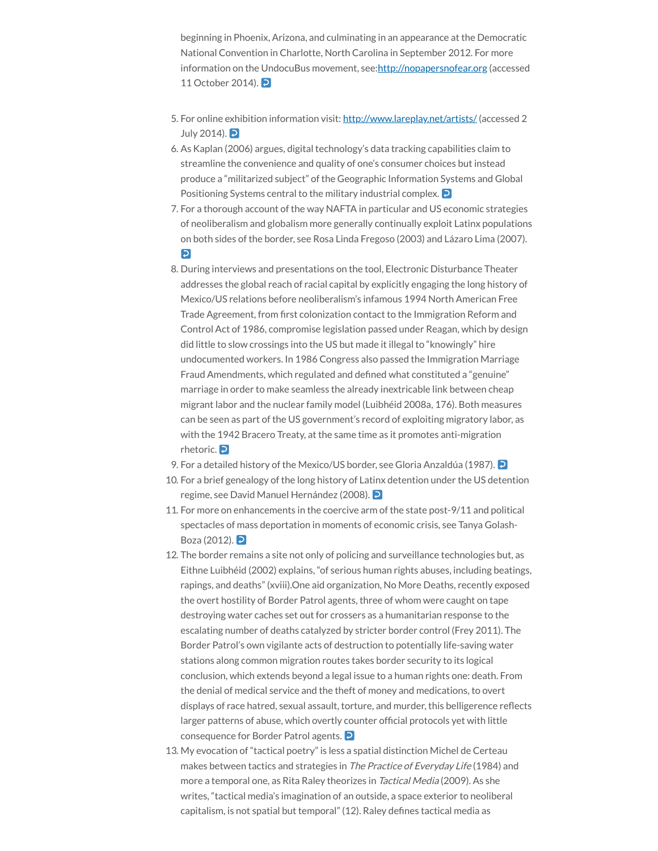<span id="page-22-1"></span><span id="page-22-0"></span>beginning in Phoenix, Arizona, and culminating in an appearance at the Democratic National Convention in Charlotte, North Carolina in September 2012. For more information on the UndocuBus movement, see:[http://nopapersnofear.org](http://nopapersnofear.org/) (accessed 11 October 2014). **P** 

- <span id="page-22-2"></span>5. For online exhibition information visit: <http://www.lareplay.net/artists/> (accessed 2 July 2014).  $\Box$
- 6. As Kaplan (2006) argues, digital technology's data tracking capabilities claim to streamline the convenience and quality of one's consumer choices but instead produce a "militarized subject" of the Geographic Information Systems and Global Positioning Systems central to the military industrial complex. **D**
- <span id="page-22-3"></span>7. For a thorough account of the way NAFTA in particular and US economic strategies of neoliberalism and globalism more generally continually exploit Latinx populations on both sides of the border, see Rosa Linda Fregoso (2003) and Lázaro Lima (2007).  $\overline{D}$
- 8. During interviews and presentations on the tool, Electronic Disturbance Theater addresses the global reach of racial capital by explicitly engaging the long history of Mexico/US relations before neoliberalism's infamous 1994 North American Free Trade Agreement, from first colonization contact to the Immigration Reform and Control Act of 1986, compromise legislation passed under Reagan, which by design did little to slow crossings into the US but made it illegal to "knowingly" hire undocumented workers. In 1986 Congress also passed the Immigration Marriage Fraud Amendments, which regulated and defined what constituted a "genuine" marriage in order to make seamless the already inextricable link between cheap migrant labor and the nuclear family model (Luibhéid 2008a, 176). Both measures can be seen as part of the US government's record of exploiting migratory labor, as with the 1942 Bracero Treaty, at the same time as it promotes anti-migration rhetoric. 2
- <span id="page-22-7"></span><span id="page-22-6"></span><span id="page-22-5"></span><span id="page-22-4"></span>9. For a detailed history of the Mexico/US border, see Gloria Anzaldúa (1987).
- 10. For a brief genealogy of the long history of Latinx detention under the US detention regime, see David Manuel Hernández (2008).
- 11. For more on enhancements in the coercive arm of the state post-9/11 and political spectacles of mass deportation in moments of economic crisis, see Tanya Golash-Boza (2012). **D**
- 12. The border remains a site not only of policing and surveillance technologies but, as Eithne Luibhéid (2002) explains, "of serious human rights abuses, including beatings, rapings, and deaths" (xviii).One aid organization, No More Deaths, recently exposed the overt hostility of Border Patrol agents, three of whom were caught on tape destroying water caches set out for crossers as a humanitarian response to the escalating number of deaths catalyzed by stricter border control (Frey 2011). The Border Patrol's own vigilante acts of destruction to potentially life-saving water stations along common migration routes takes border security to its logical conclusion, which extends beyond a legal issue to a human rights one: death. From the denial of medical service and the theft of money and medications, to overt displays of race hatred, sexual assault, torture, and murder, this belligerence reflects larger patterns of abuse, which overtly counter official protocols yet with little consequence for Border Patrol agents. 2
- <span id="page-22-8"></span>13. My evocation of "tactical poetry" is less a spatial distinction Michel de Certeau makes between tactics and strategies in The Practice of Everyday Life (1984) and more a temporal one, as Rita Raley theorizes in Tactical Media (2009). As she writes, "tactical media's imagination of an outside, a space exterior to neoliberal capitalism, is not spatial but temporal" (12). Raley defines tactical media as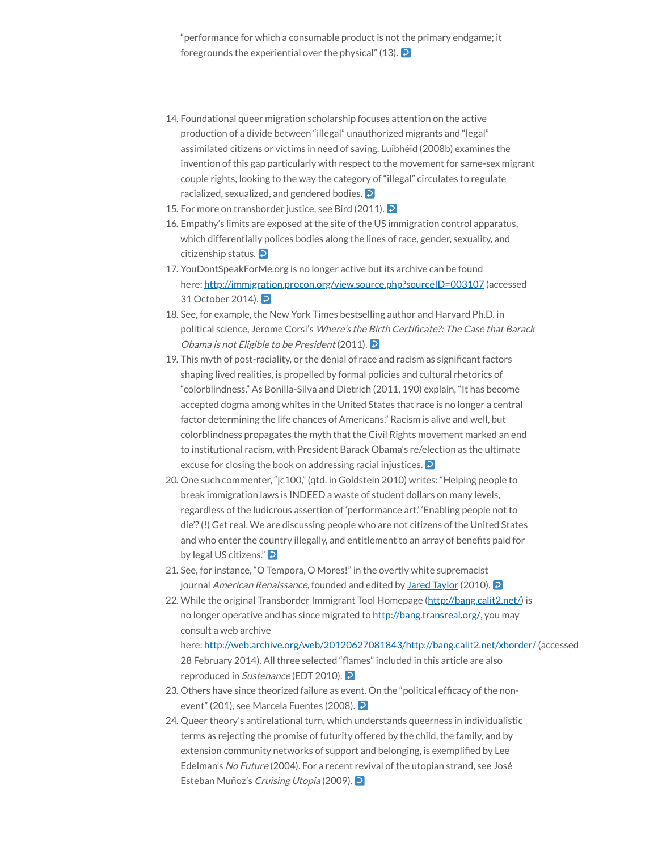<span id="page-23-0"></span>"performance for which a consumable product is not the primary endgame; it foregrounds the experiential over the physical" (13).  $\triangleright$ 

- <span id="page-23-2"></span><span id="page-23-1"></span>14. Foundational queer migration scholarship focuses attention on the active production of a divide between "illegal" unauthorized migrants and "legal" assimilated citizens or victims in need of saving. Luibhéid (2008b) examines the invention of this gap particularly with respect to the movement for same-sex migrant couple rights, looking to the way the category of "illegal" circulates to regulate racialized, sexualized, and gendered bodies.
- <span id="page-23-3"></span>15. For more on transborder justice, see Bird (2011). **D**
- <span id="page-23-4"></span>16. Empathy's limits are exposed at the site of the US immigration control apparatus, which differentially polices bodies along the lines of race, gender, sexuality, and citizenship status. 2
- <span id="page-23-5"></span>17. YouDontSpeakForMe.org is no longer active but its archive can be found here: <http://immigration.procon.org/view.source.php?sourceID=003107> (accessed 31 October 2014). 2
- 18. See, for example, the New York Times bestselling author and Harvard Ph.D. in political science, Jerome Corsi's Where's the Birth Certificate?: The Case that Barack Obama is not Eligible to be President (2011).
- <span id="page-23-6"></span>19. This myth of post-raciality, or the denial of race and racism as significant factors shaping lived realities, is propelled by formal policies and cultural rhetorics of "colorblindness." As Bonilla-Silva and Dietrich (2011, 190) explain, "It has become accepted dogma among whites in the United States that race is no longer a central factor determining the life chances of Americans." Racism is alive and well, but colorblindness propagates the myth that the Civil Rights movement marked an end to institutional racism, with President Barack Obama's re/election as the ultimate excuse for closing the book on addressing racial injustices. **D**
- <span id="page-23-8"></span><span id="page-23-7"></span>20. One such commenter, "jc100," (qtd. in Goldstein 2010) writes: "Helping people to break immigration laws is INDEED a waste of student dollars on many levels, regardless of the ludicrous assertion of 'performance art.' 'Enabling people not to die'?(!) Get real. We are discussing people who are not citizens of the United States and who enter the country illegally, and entitlement to an array of benefits paid for by legal US citizens." **D**
- 21. See, for instance, "O Tempora, O Mores!" in the overtly white supremacist journal American Renaissance, founded and edited by Jared [Taylor](http://www.splcenter.org/get-informed/intelligence-files/profiles/jared-taylor) (2010).
- <span id="page-23-10"></span><span id="page-23-9"></span>22. While the original Transborder Immigrant Tool Homepage [\(http://bang.calit2.net/\)](http://bang.calit2.net/) is no longer operative and has since migrated to <http://bang.transreal.org/>, you may consult a web archive here: <http://web.archive.org/web/20120627081843/http://bang.calit2.net/xborder/> (accessed 28 February 2014). All three selected "flames" included in this article are also reproduced in *Sustenance* (EDT 2010).
- 23. Others have since theorized failure as event. On the "political efficacy of the nonevent" (201), see Marcela Fuentes (2008).
- 24. Queer theory's antirelational turn, which understands queerness in individualistic terms as rejecting the promise of futurity offered by the child, the family, and by extension community networks of support and belonging, is exemplified by Lee Edelman's No Future (2004). For a recent revival of the utopian strand, see José Esteban Muñoz's Cruising Utopia (2009).